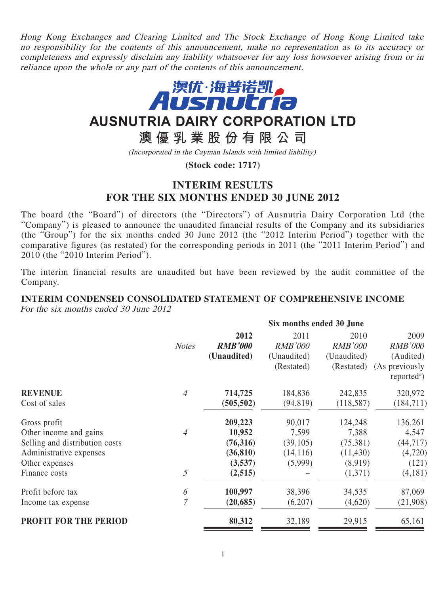Hong Kong Exchanges and Clearing Limited and The Stock Exchange of Hong Kong Limited take no responsibility for the contents of this announcement, make no representation as to its accuracy or completeness and expressly disclaim any liability whatsoever for any loss howsoever arising from or in reliance upon the whole or any part of the contents of this announcement.



# **AUSNUTRIA DAIRY CORPORATION LTD**

**澳優乳業股份有限公司**

(Incorporated in the Cayman Islands with limited liability)

**(Stock code: 1717)**

## **INTERIM RESULTS FOR THE SIX MONTHS ENDED 30 JUNE 2012**

The board (the "Board") of directors (the "Directors") of Ausnutria Dairy Corporation Ltd (the "Company") is pleased to announce the unaudited financial results of the Company and its subsidiaries (the "Group") for the six months ended 30 June 2012 (the "2012 Interim Period") together with the comparative figures (as restated) for the corresponding periods in 2011 (the "2011 Interim Period") and 2010 (the "2010 Interim Period").

The interim financial results are unaudited but have been reviewed by the audit committee of the Company.

**Six months ended 30 June**

**INTERIM CONDENSED CONSOLIDATED STATEMENT OF COMPREHENSIVE INCOME** For the six months ended 30 June 2012

|                                | <b>SIX MONUS CHUCU SU JUNE</b> |                |                |                |                                           |
|--------------------------------|--------------------------------|----------------|----------------|----------------|-------------------------------------------|
|                                |                                | 2012           | 2011           | 2010           | 2009                                      |
|                                | <b>Notes</b>                   | <b>RMB'000</b> | <b>RMB'000</b> | <b>RMB'000</b> | <b>RMB'000</b>                            |
|                                |                                | (Unaudited)    | (Unaudited)    | (Unaudited)    | (Audited)                                 |
|                                |                                |                | (Restated)     | (Restated)     | (As previously<br>reported <sup>#</sup> ) |
| <b>REVENUE</b>                 | $\overline{4}$                 | 714,725        | 184,836        | 242,835        | 320,972                                   |
| Cost of sales                  |                                | (505, 502)     | (94, 819)      | (118, 587)     | (184, 711)                                |
| Gross profit                   |                                | 209,223        | 90,017         | 124,248        | 136,261                                   |
| Other income and gains         | $\overline{4}$                 | 10,952         | 7,599          | 7,388          | 4,547                                     |
| Selling and distribution costs |                                | (76,316)       | (39,105)       | (75, 381)      | (44, 717)                                 |
| Administrative expenses        |                                | (36, 810)      | (14, 116)      | (11, 430)      | (4,720)                                   |
| Other expenses                 |                                | (3,537)        | (5,999)        | (8,919)        | (121)                                     |
| Finance costs                  | $\mathfrak{H}$                 | (2,515)        |                | (1,371)        | (4,181)                                   |
| Profit before tax              | 6                              | 100,997        | 38,396         | 34,535         | 87,069                                    |
| Income tax expense             | $\overline{7}$                 | (20, 685)      | (6,207)        | (4,620)        | (21,908)                                  |
| PROFIT FOR THE PERIOD          |                                | 80,312         | 32,189         | 29,915         | 65,161                                    |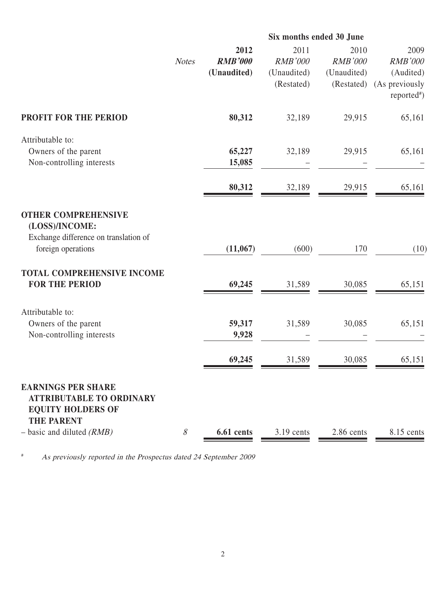|                                                                                          | Six months ended 30 June |                 |                           |                           |                             |  |
|------------------------------------------------------------------------------------------|--------------------------|-----------------|---------------------------|---------------------------|-----------------------------|--|
|                                                                                          |                          | 2012            | 2011                      | 2010                      | 2009                        |  |
|                                                                                          | <b>Notes</b>             | <b>RMB'000</b>  | <b>RMB'000</b>            | <b>RMB'000</b>            | <b>RMB'000</b>              |  |
|                                                                                          |                          | (Unaudited)     | (Unaudited)<br>(Restated) | (Unaudited)<br>(Restated) | (Audited)<br>(As previously |  |
|                                                                                          |                          |                 |                           |                           | $reported*$                 |  |
| <b>PROFIT FOR THE PERIOD</b>                                                             |                          | 80,312          | 32,189                    | 29,915                    | 65,161                      |  |
| Attributable to:                                                                         |                          |                 |                           |                           |                             |  |
| Owners of the parent                                                                     |                          | 65,227          | 32,189                    | 29,915                    | 65,161                      |  |
| Non-controlling interests                                                                |                          | 15,085          |                           |                           |                             |  |
|                                                                                          |                          | 80,312          | 32,189                    | 29,915                    | 65,161                      |  |
| <b>OTHER COMPREHENSIVE</b><br>(LOSS)/INCOME:<br>Exchange difference on translation of    |                          |                 |                           |                           |                             |  |
| foreign operations                                                                       |                          | (11,067)        | (600)                     | 170                       | (10)                        |  |
| TOTAL COMPREHENSIVE INCOME                                                               |                          |                 |                           |                           |                             |  |
| <b>FOR THE PERIOD</b>                                                                    |                          | 69,245          | 31,589                    | 30,085                    | 65,151                      |  |
| Attributable to:                                                                         |                          |                 |                           |                           |                             |  |
| Owners of the parent<br>Non-controlling interests                                        |                          | 59,317<br>9,928 | 31,589                    | 30,085                    | 65,151                      |  |
|                                                                                          |                          |                 |                           |                           |                             |  |
|                                                                                          |                          | 69,245          | 31,589                    | 30,085                    | 65,151                      |  |
| <b>EARNINGS PER SHARE</b><br><b>ATTRIBUTABLE TO ORDINARY</b><br><b>EQUITY HOLDERS OF</b> |                          |                 |                           |                           |                             |  |
| <b>THE PARENT</b><br>$-$ basic and diluted ( <i>RMB</i> )                                | 8                        | 6.61 cents      | $3.19$ cents              | 2.86 cents                | 8.15 cents                  |  |
|                                                                                          |                          |                 |                           |                           |                             |  |

# As previously reported in the Prospectus dated 24 September 2009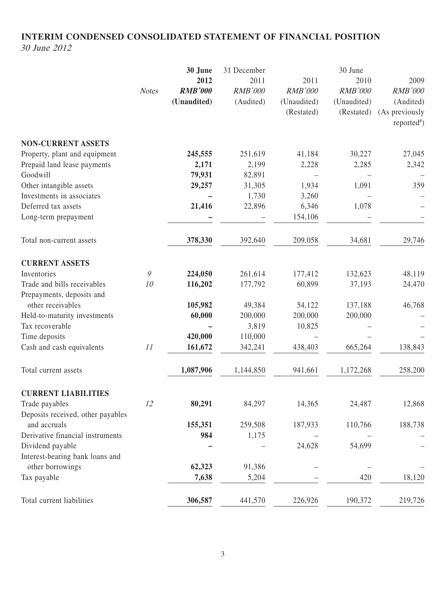## **INTERIM CONDENSED CONSOLIDATED STATEMENT OF FINANCIAL POSITION** 30 June 2012

|                                   | <b>Notes</b> | 30 June<br>2012<br><b>RMB'000</b><br>(Unaudited) | 31 December<br>2011<br><b>RMB'000</b><br>(Audited) | 2011<br><b>RMB'000</b><br>(Unaudited)<br>(Restated) | 30 June<br>2010<br><b>RMB'000</b><br>(Unaudited)<br>(Restated) | 2009<br><b>RMB'000</b><br>(Audited)<br>(As previously<br>reported <sup>#</sup> ) |
|-----------------------------------|--------------|--------------------------------------------------|----------------------------------------------------|-----------------------------------------------------|----------------------------------------------------------------|----------------------------------------------------------------------------------|
| <b>NON-CURRENT ASSETS</b>         |              |                                                  |                                                    |                                                     |                                                                |                                                                                  |
| Property, plant and equipment     |              | 245,555                                          | 251,619                                            | 41,184                                              | 30,227                                                         | 27,045                                                                           |
| Prepaid land lease payments       |              | 2,171                                            | 2,199                                              | 2,228                                               | 2,285                                                          | 2,342                                                                            |
| Goodwill                          |              | 79,931                                           | 82,891                                             |                                                     |                                                                |                                                                                  |
| Other intangible assets           |              | 29,257                                           | 31,305                                             | 1,934                                               | 1,091                                                          | 359                                                                              |
| Investments in associates         |              |                                                  | 1,730                                              | 3,260                                               |                                                                |                                                                                  |
| Deferred tax assets               |              | 21,416                                           | 22,896                                             | 6,346                                               | 1,078                                                          |                                                                                  |
| Long-term prepayment              |              |                                                  |                                                    | 154,106                                             |                                                                |                                                                                  |
| Total non-current assets          |              | 378,330                                          | 392,640                                            | 209,058                                             | 34,681                                                         | 29,746                                                                           |
| <b>CURRENT ASSETS</b>             |              |                                                  |                                                    |                                                     |                                                                |                                                                                  |
| Inventories                       | 9            | 224,050                                          | 261,614                                            | 177,412                                             | 132,623                                                        | 48,119                                                                           |
| Trade and bills receivables       | 10           | 116,202                                          | 177,792                                            | 60,899                                              | 37,193                                                         | 24,470                                                                           |
| Prepayments, deposits and         |              |                                                  |                                                    |                                                     |                                                                |                                                                                  |
| other receivables                 |              | 105,982                                          | 49,384                                             | 54,122                                              | 137,188                                                        | 46,768                                                                           |
| Held-to-maturity investments      |              | 60,000                                           | 200,000                                            | 200,000                                             | 200,000                                                        |                                                                                  |
| Tax recoverable                   |              |                                                  | 3,819                                              | 10,825                                              |                                                                |                                                                                  |
| Time deposits                     |              | 420,000                                          | 110,000                                            |                                                     |                                                                |                                                                                  |
| Cash and cash equivalents         | 11           | 161,672                                          | 342,241                                            | 438,403                                             | 665,264                                                        | 138,843                                                                          |
| Total current assets              |              | 1,087,906                                        | 1,144,850                                          | 941,661                                             | 1,172,268                                                      | 258,200                                                                          |
| <b>CURRENT LIABILITIES</b>        |              |                                                  |                                                    |                                                     |                                                                |                                                                                  |
| Trade payables                    | 12           | 80,291                                           | 84,297                                             | 14,365                                              | 24,487                                                         | 12,868                                                                           |
| Deposits received, other payables |              |                                                  |                                                    |                                                     |                                                                |                                                                                  |
| and accruals                      |              | 155,351                                          | 259,508                                            | 187,933                                             | 110,766                                                        | 188,738                                                                          |
| Derivative financial instruments  |              | 984                                              | 1,175                                              |                                                     |                                                                |                                                                                  |
| Dividend payable                  |              |                                                  |                                                    | 24,628                                              | 54,699                                                         |                                                                                  |
| Interest-bearing bank loans and   |              |                                                  |                                                    |                                                     |                                                                |                                                                                  |
| other borrowings                  |              | 62,323                                           | 91,386                                             |                                                     |                                                                |                                                                                  |
| Tax payable                       |              | 7,638                                            | 5,204                                              |                                                     | 420                                                            | 18,120                                                                           |
| Total current liabilities         |              | 306,587                                          | 441,570                                            | 226,926                                             | 190,372                                                        | 219,726                                                                          |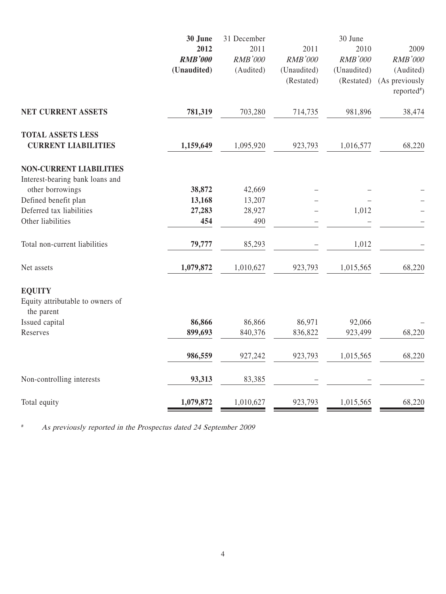| 30 June   | 31 December                           |                                     | 30 June                                             |                                                     |
|-----------|---------------------------------------|-------------------------------------|-----------------------------------------------------|-----------------------------------------------------|
|           |                                       |                                     |                                                     | 2009                                                |
|           |                                       |                                     |                                                     | RMB'000                                             |
|           |                                       |                                     |                                                     | (Audited)<br>(As previously                         |
|           |                                       |                                     |                                                     | $reported*$                                         |
|           |                                       |                                     |                                                     |                                                     |
| 781,319   | 703,280                               | 714,735                             | 981,896                                             | 38,474                                              |
|           |                                       |                                     |                                                     |                                                     |
| 1,159,649 | 1,095,920                             | 923,793                             | 1,016,577                                           | 68,220                                              |
|           |                                       |                                     |                                                     |                                                     |
|           |                                       |                                     |                                                     |                                                     |
| 38,872    | 42,669                                |                                     |                                                     |                                                     |
| 13,168    | 13,207                                |                                     |                                                     |                                                     |
| 27,283    | 28,927                                |                                     | 1,012                                               |                                                     |
| 454       | 490                                   |                                     |                                                     |                                                     |
| 79,777    | 85,293                                |                                     | 1,012                                               |                                                     |
| 1,079,872 | 1,010,627                             | 923,793                             | 1,015,565                                           | 68,220                                              |
|           |                                       |                                     |                                                     |                                                     |
|           |                                       |                                     |                                                     |                                                     |
|           |                                       |                                     |                                                     |                                                     |
| 86,866    | 86,866                                | 86,971                              | 92,066                                              |                                                     |
| 899,693   | 840,376                               | 836,822                             | 923,499                                             | 68,220                                              |
| 986,559   | 927,242                               | 923,793                             | 1,015,565                                           | 68,220                                              |
| 93,313    | 83,385                                |                                     |                                                     |                                                     |
| 1,079,872 | 1,010,627                             | 923,793                             | 1,015,565                                           | 68,220                                              |
|           | 2012<br><b>RMB'000</b><br>(Unaudited) | 2011<br><b>RMB'000</b><br>(Audited) | 2011<br><b>RMB'000</b><br>(Unaudited)<br>(Restated) | 2010<br><b>RMB'000</b><br>(Unaudited)<br>(Restated) |

# As previously reported in the Prospectus dated 24 September 2009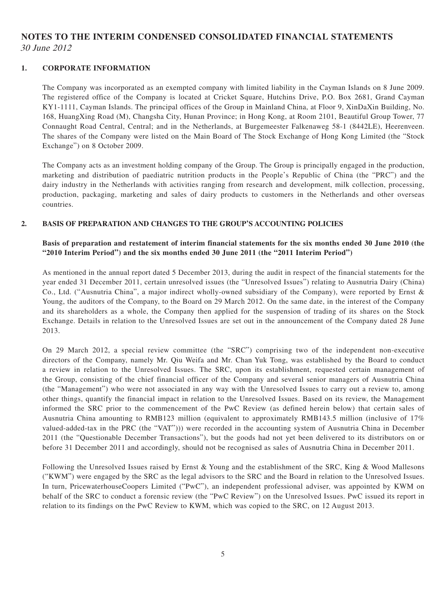## **NOTES TO THE INTERIM CONDENSED CONSOLIDATED FINANCIAL STATEMENTS** 30 June 2012

#### **1. CORPORATE INFORMATION**

The Company was incorporated as an exempted company with limited liability in the Cayman Islands on 8 June 2009. The registered office of the Company is located at Cricket Square, Hutchins Drive, P.O. Box 2681, Grand Cayman KY1-1111, Cayman Islands. The principal offices of the Group in Mainland China, at Floor 9, XinDaXin Building, No. 168, HuangXing Road (M), Changsha City, Hunan Province; in Hong Kong, at Room 2101, Beautiful Group Tower, 77 Connaught Road Central, Central; and in the Netherlands, at Burgemeester Falkenaweg 58-1 (8442LE), Heerenveen. The shares of the Company were listed on the Main Board of The Stock Exchange of Hong Kong Limited (the "Stock Exchange") on 8 October 2009.

The Company acts as an investment holding company of the Group. The Group is principally engaged in the production, marketing and distribution of paediatric nutrition products in the People's Republic of China (the "PRC") and the dairy industry in the Netherlands with activities ranging from research and development, milk collection, processing, production, packaging, marketing and sales of dairy products to customers in the Netherlands and other overseas countries.

#### **2. BASIS OF PREPARATION AND CHANGES TO THE GROUP'S ACCOUNTING POLICIES**

#### **Basis of preparation and restatement of interim financial statements for the six months ended 30 June 2010 (the "2010 Interim Period") and the six months ended 30 June 2011 (the "2011 Interim Period")**

As mentioned in the annual report dated 5 December 2013, during the audit in respect of the financial statements for the year ended 31 December 2011, certain unresolved issues (the "Unresolved Issues") relating to Ausnutria Dairy (China) Co., Ltd. ("Ausnutria China", a major indirect wholly-owned subsidiary of the Company), were reported by Ernst & Young, the auditors of the Company, to the Board on 29 March 2012. On the same date, in the interest of the Company and its shareholders as a whole, the Company then applied for the suspension of trading of its shares on the Stock Exchange. Details in relation to the Unresolved Issues are set out in the announcement of the Company dated 28 June 2013.

On 29 March 2012, a special review committee (the "SRC") comprising two of the independent non-executive directors of the Company, namely Mr. Qiu Weifa and Mr. Chan Yuk Tong, was established by the Board to conduct a review in relation to the Unresolved Issues. The SRC, upon its establishment, requested certain management of the Group, consisting of the chief financial officer of the Company and several senior managers of Ausnutria China (the "Management") who were not associated in any way with the Unresolved Issues to carry out a review to, among other things, quantify the financial impact in relation to the Unresolved Issues. Based on its review, the Management informed the SRC prior to the commencement of the PwC Review (as defined herein below) that certain sales of Ausnutria China amounting to RMB123 million (equivalent to approximately RMB143.5 million (inclusive of 17% valued-added-tax in the PRC (the "VAT"))) were recorded in the accounting system of Ausnutria China in December 2011 (the "Questionable December Transactions"), but the goods had not yet been delivered to its distributors on or before 31 December 2011 and accordingly, should not be recognised as sales of Ausnutria China in December 2011.

Following the Unresolved Issues raised by Ernst & Young and the establishment of the SRC, King & Wood Mallesons ("KWM") were engaged by the SRC as the legal advisors to the SRC and the Board in relation to the Unresolved Issues. In turn, PricewaterhouseCoopers Limited ("PwC"), an independent professional adviser, was appointed by KWM on behalf of the SRC to conduct a forensic review (the "PwC Review") on the Unresolved Issues. PwC issued its report in relation to its findings on the PwC Review to KWM, which was copied to the SRC, on 12 August 2013.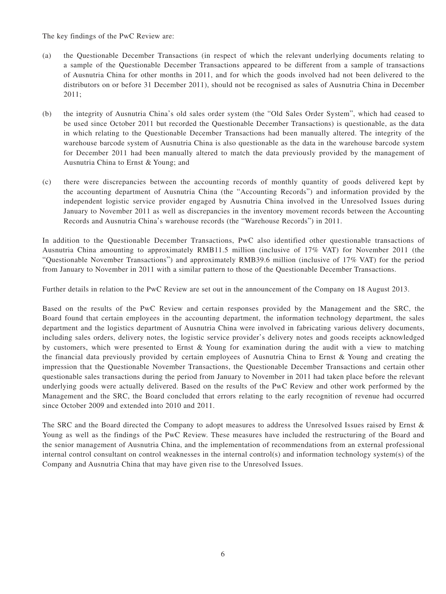The key findings of the PwC Review are:

- (a) the Questionable December Transactions (in respect of which the relevant underlying documents relating to a sample of the Questionable December Transactions appeared to be different from a sample of transactions of Ausnutria China for other months in 2011, and for which the goods involved had not been delivered to the distributors on or before 31 December 2011), should not be recognised as sales of Ausnutria China in December 2011;
- (b) the integrity of Ausnutria China's old sales order system (the "Old Sales Order System", which had ceased to be used since October 2011 but recorded the Questionable December Transactions) is questionable, as the data in which relating to the Questionable December Transactions had been manually altered. The integrity of the warehouse barcode system of Ausnutria China is also questionable as the data in the warehouse barcode system for December 2011 had been manually altered to match the data previously provided by the management of Ausnutria China to Ernst & Young; and
- (c) there were discrepancies between the accounting records of monthly quantity of goods delivered kept by the accounting department of Ausnutria China (the "Accounting Records") and information provided by the independent logistic service provider engaged by Ausnutria China involved in the Unresolved Issues during January to November 2011 as well as discrepancies in the inventory movement records between the Accounting Records and Ausnutria China's warehouse records (the "Warehouse Records") in 2011.

In addition to the Questionable December Transactions, PwC also identified other questionable transactions of Ausnutria China amounting to approximately RMB11.5 million (inclusive of 17% VAT) for November 2011 (the "Questionable November Transactions") and approximately RMB39.6 million (inclusive of 17% VAT) for the period from January to November in 2011 with a similar pattern to those of the Questionable December Transactions.

Further details in relation to the PwC Review are set out in the announcement of the Company on 18 August 2013.

Based on the results of the PwC Review and certain responses provided by the Management and the SRC, the Board found that certain employees in the accounting department, the information technology department, the sales department and the logistics department of Ausnutria China were involved in fabricating various delivery documents, including sales orders, delivery notes, the logistic service provider's delivery notes and goods receipts acknowledged by customers, which were presented to Ernst & Young for examination during the audit with a view to matching the financial data previously provided by certain employees of Ausnutria China to Ernst & Young and creating the impression that the Questionable November Transactions, the Questionable December Transactions and certain other questionable sales transactions during the period from January to November in 2011 had taken place before the relevant underlying goods were actually delivered. Based on the results of the PwC Review and other work performed by the Management and the SRC, the Board concluded that errors relating to the early recognition of revenue had occurred since October 2009 and extended into 2010 and 2011.

The SRC and the Board directed the Company to adopt measures to address the Unresolved Issues raised by Ernst & Young as well as the findings of the PwC Review. These measures have included the restructuring of the Board and the senior management of Ausnutria China, and the implementation of recommendations from an external professional internal control consultant on control weaknesses in the internal control(s) and information technology system(s) of the Company and Ausnutria China that may have given rise to the Unresolved Issues.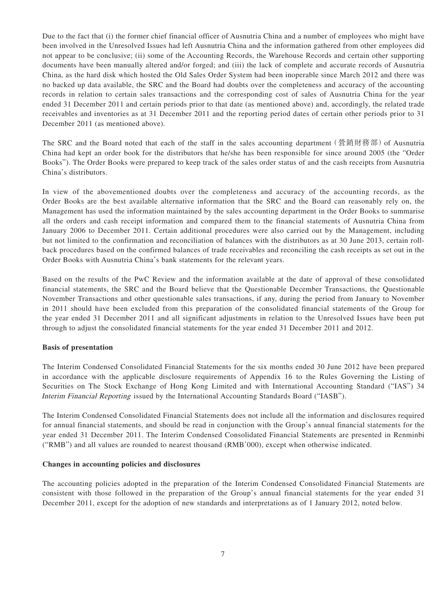Due to the fact that (i) the former chief financial officer of Ausnutria China and a number of employees who might have been involved in the Unresolved Issues had left Ausnutria China and the information gathered from other employees did not appear to be conclusive; (ii) some of the Accounting Records, the Warehouse Records and certain other supporting documents have been manually altered and/or forged; and (iii) the lack of complete and accurate records of Ausnutria China, as the hard disk which hosted the Old Sales Order System had been inoperable since March 2012 and there was no backed up data available, the SRC and the Board had doubts over the completeness and accuracy of the accounting records in relation to certain sales transactions and the corresponding cost of sales of Ausnutria China for the year ended 31 December 2011 and certain periods prior to that date (as mentioned above) and, accordingly, the related trade receivables and inventories as at 31 December 2011 and the reporting period dates of certain other periods prior to 31 December 2011 (as mentioned above).

The SRC and the Board noted that each of the staff in the sales accounting department (營銷財務部) of Ausnutria China had kept an order book for the distributors that he/she has been responsible for since around 2005 (the "Order Books"). The Order Books were prepared to keep track of the sales order status of and the cash receipts from Ausnutria China's distributors.

In view of the abovementioned doubts over the completeness and accuracy of the accounting records, as the Order Books are the best available alternative information that the SRC and the Board can reasonably rely on, the Management has used the information maintained by the sales accounting department in the Order Books to summarise all the orders and cash receipt information and compared them to the financial statements of Ausnutria China from January 2006 to December 2011. Certain additional procedures were also carried out by the Management, including but not limited to the confirmation and reconciliation of balances with the distributors as at 30 June 2013, certain rollback procedures based on the confirmed balances of trade receivables and reconciling the cash receipts as set out in the Order Books with Ausnutria China's bank statements for the relevant years.

Based on the results of the PwC Review and the information available at the date of approval of these consolidated financial statements, the SRC and the Board believe that the Questionable December Transactions, the Questionable November Transactions and other questionable sales transactions, if any, during the period from January to November in 2011 should have been excluded from this preparation of the consolidated financial statements of the Group for the year ended 31 December 2011 and all significant adjustments in relation to the Unresolved Issues have been put through to adjust the consolidated financial statements for the year ended 31 December 2011 and 2012.

#### **Basis of presentation**

The Interim Condensed Consolidated Financial Statements for the six months ended 30 June 2012 have been prepared in accordance with the applicable disclosure requirements of Appendix 16 to the Rules Governing the Listing of Securities on The Stock Exchange of Hong Kong Limited and with International Accounting Standard ("IAS") 34 Interim Financial Reporting issued by the International Accounting Standards Board ("IASB").

The Interim Condensed Consolidated Financial Statements does not include all the information and disclosures required for annual financial statements, and should be read in conjunction with the Group's annual financial statements for the year ended 31 December 2011. The Interim Condensed Consolidated Financial Statements are presented in Renminbi ("RMB") and all values are rounded to nearest thousand (RMB'000), except when otherwise indicated.

#### **Changes in accounting policies and disclosures**

The accounting policies adopted in the preparation of the Interim Condensed Consolidated Financial Statements are consistent with those followed in the preparation of the Group's annual financial statements for the year ended 31 December 2011, except for the adoption of new standards and interpretations as of 1 January 2012, noted below.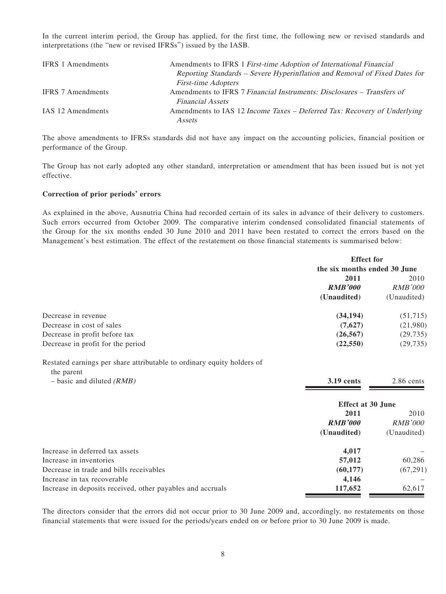In the current interim period, the Group has applied, for the first time, the following new or revised standards and interpretations (the "new or revised IFRSs") issued by the IASB.

| <b>IFRS</b> 1 Amendments | Amendments to IFRS 1 First-time Adoption of International Financial        |
|--------------------------|----------------------------------------------------------------------------|
|                          | Reporting Standards – Severe Hyperinflation and Removal of Fixed Dates for |
|                          | <b>First-time Adopters</b>                                                 |
| <b>IFRS</b> 7 Amendments | Amendments to IFRS 7 Financial Instruments: Disclosures – Transfers of     |
|                          | <b>Financial Assets</b>                                                    |
| IAS 12 Amendments        | Amendments to IAS 12 Income Taxes – Deferred Tax: Recovery of Underlying   |
|                          | Assets                                                                     |

The above amendments to IFRSs standards did not have any impact on the accounting policies, financial position or performance of the Group.

The Group has not early adopted any other standard, interpretation or amendment that has been issued but is not yet effective.

#### **Correction of prior periods' errors**

As explained in the above, Ausnutria China had recorded certain of its sales in advance of their delivery to customers. Such errors occurred from October 2009. The comparative interim condensed consolidated financial statements of the Group for the six months ended 30 June 2010 and 2011 have been restated to correct the errors based on the Management's best estimation. The effect of the restatement on those financial statements is summarised below:

|                                                                                      | <b>Effect</b> for            |                |  |
|--------------------------------------------------------------------------------------|------------------------------|----------------|--|
|                                                                                      | the six months ended 30 June |                |  |
|                                                                                      | 2011                         | 2010           |  |
|                                                                                      | <b>RMB'000</b>               | <i>RMB'000</i> |  |
|                                                                                      | (Unaudited)                  | (Unaudited)    |  |
| Decrease in revenue                                                                  | (34, 194)                    | (51,715)       |  |
| Decrease in cost of sales                                                            | (7,627)                      | (21,980)       |  |
| Decrease in profit before tax                                                        | (26, 567)                    | (29, 735)      |  |
| Decrease in profit for the period                                                    | (22, 550)                    | (29, 735)      |  |
| Restated earnings per share attributable to ordinary equity holders of<br>the parent |                              |                |  |
| $-$ basic and diluted (RMB)                                                          | <b>3.19 cents</b>            | $2.86$ cents   |  |
|                                                                                      | <b>Effect at 30 June</b>     |                |  |
|                                                                                      | 2011                         | 2010           |  |
|                                                                                      | <b>RMB'000</b>               | <i>RMB'000</i> |  |
|                                                                                      | (Unaudited)                  | (Unaudited)    |  |

| Increase in deferred tax assets                            | 4.017    |           |
|------------------------------------------------------------|----------|-----------|
| Increase in inventories                                    | 57,012   | 60.286    |
| Decrease in trade and bills receivables                    | (60.177) | (67, 291) |
| Increase in tax recoverable                                | 4.146    |           |
| Increase in deposits received, other payables and accruals | 117,652  | 62.617    |

The directors consider that the errors did not occur prior to 30 June 2009 and, accordingly, no restatements on those financial statements that were issued for the periods/years ended on or before prior to 30 June 2009 is made.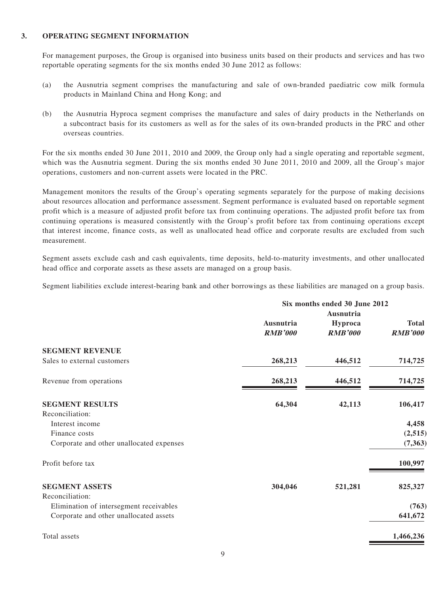#### **3. OPERATING SEGMENT INFORMATION**

For management purposes, the Group is organised into business units based on their products and services and has two reportable operating segments for the six months ended 30 June 2012 as follows:

- (a) the Ausnutria segment comprises the manufacturing and sale of own-branded paediatric cow milk formula products in Mainland China and Hong Kong; and
- (b) the Ausnutria Hyproca segment comprises the manufacture and sales of dairy products in the Netherlands on a subcontract basis for its customers as well as for the sales of its own-branded products in the PRC and other overseas countries.

For the six months ended 30 June 2011, 2010 and 2009, the Group only had a single operating and reportable segment, which was the Ausnutria segment. During the six months ended 30 June 2011, 2010 and 2009, all the Group's major operations, customers and non-current assets were located in the PRC.

Management monitors the results of the Group's operating segments separately for the purpose of making decisions about resources allocation and performance assessment. Segment performance is evaluated based on reportable segment profit which is a measure of adjusted profit before tax from continuing operations. The adjusted profit before tax from continuing operations is measured consistently with the Group's profit before tax from continuing operations except that interest income, finance costs, as well as unallocated head office and corporate results are excluded from such measurement.

Segment assets exclude cash and cash equivalents, time deposits, held-to-maturity investments, and other unallocated head office and corporate assets as these assets are managed on a group basis.

Segment liabilities exclude interest-bearing bank and other borrowings as these liabilities are managed on a group basis.

|                                          | Six months ended 30 June 2012 |                                               |                                |  |
|------------------------------------------|-------------------------------|-----------------------------------------------|--------------------------------|--|
|                                          | Ausnutria<br><b>RMB'000</b>   | <b>Ausnutria</b><br>Hyproca<br><b>RMB'000</b> | <b>Total</b><br><b>RMB'000</b> |  |
| <b>SEGMENT REVENUE</b>                   |                               |                                               |                                |  |
| Sales to external customers              | 268,213                       | 446,512                                       | 714,725                        |  |
| Revenue from operations                  | 268,213                       | 446,512                                       | 714,725                        |  |
| <b>SEGMENT RESULTS</b>                   | 64,304                        | 42,113                                        | 106,417                        |  |
| Reconciliation:                          |                               |                                               |                                |  |
| Interest income                          |                               |                                               | 4,458                          |  |
| Finance costs                            |                               |                                               | (2,515)                        |  |
| Corporate and other unallocated expenses |                               |                                               | (7, 363)                       |  |
| Profit before tax                        |                               |                                               | 100,997                        |  |
| <b>SEGMENT ASSETS</b>                    | 304,046                       | 521,281                                       | 825,327                        |  |
| Reconciliation:                          |                               |                                               |                                |  |
| Elimination of intersegment receivables  |                               |                                               | (763)                          |  |
| Corporate and other unallocated assets   |                               |                                               | 641,672                        |  |
| Total assets                             |                               |                                               | 1,466,236                      |  |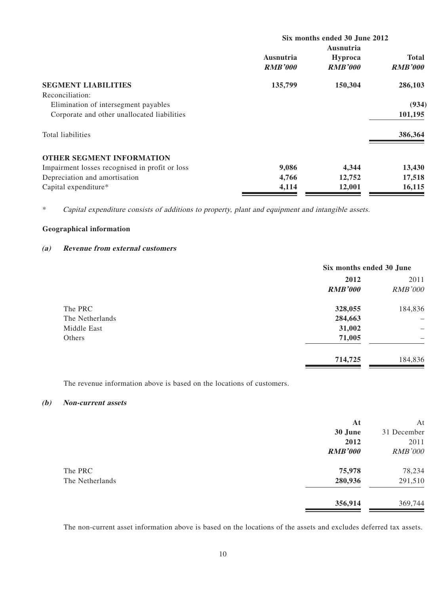|                                                | Six months ended 30 June 2012 |                  |                |  |  |
|------------------------------------------------|-------------------------------|------------------|----------------|--|--|
|                                                |                               | <b>Ausnutria</b> |                |  |  |
|                                                | Ausnutria                     | <b>Hyproca</b>   | <b>Total</b>   |  |  |
|                                                | <b>RMB'000</b>                | <b>RMB'000</b>   | <b>RMB'000</b> |  |  |
| <b>SEGMENT LIABILITIES</b>                     | 135,799                       | 150,304          | 286,103        |  |  |
| Reconciliation:                                |                               |                  |                |  |  |
| Elimination of intersegment payables           |                               |                  | (934)          |  |  |
| Corporate and other unallocated liabilities    |                               |                  | 101,195        |  |  |
| Total liabilities                              |                               |                  | 386,364        |  |  |
| <b>OTHER SEGMENT INFORMATION</b>               |                               |                  |                |  |  |
| Impairment losses recognised in profit or loss | 9,086                         | 4,344            | 13,430         |  |  |
| Depreciation and amortisation                  | 4,766                         | 12,752           | 17,518         |  |  |
| Capital expenditure*                           | 4,114                         | 12,001           | 16,115         |  |  |

\* Capital expenditure consists of additions to property, plant and equipment and intangible assets.

#### **Geographical information**

#### **(a) Revenue from external customers**

|                 | Six months ended 30 June |                |  |
|-----------------|--------------------------|----------------|--|
|                 | 2012                     | 2011           |  |
|                 | <b>RMB'000</b>           | <b>RMB'000</b> |  |
| The PRC         | 328,055                  | 184,836        |  |
| The Netherlands | 284,663                  |                |  |
| Middle East     | 31,002                   | -              |  |
| Others          | 71,005                   |                |  |
|                 | 714,725                  | 184,836        |  |

The revenue information above is based on the locations of customers.

#### **(b) Non-current assets**

|                 | At             | At             |
|-----------------|----------------|----------------|
|                 | 30 June        | 31 December    |
|                 | 2012           | 2011           |
|                 | <b>RMB'000</b> | <b>RMB'000</b> |
| The PRC         | 75,978         | 78,234         |
| The Netherlands | 280,936        | 291,510        |
|                 | 356,914        | 369,744        |
|                 |                |                |

The non-current asset information above is based on the locations of the assets and excludes deferred tax assets.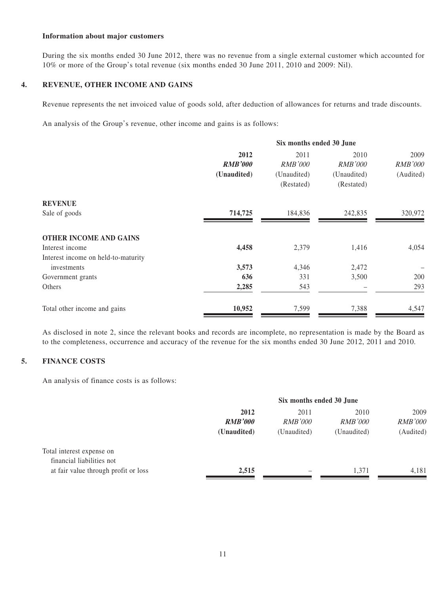#### **Information about major customers**

During the six months ended 30 June 2012, there was no revenue from a single external customer which accounted for 10% or more of the Group's total revenue (six months ended 30 June 2011, 2010 and 2009: Nil).

#### **4. REVENUE, OTHER INCOME AND GAINS**

Revenue represents the net invoiced value of goods sold, after deduction of allowances for returns and trade discounts.

An analysis of the Group's revenue, other income and gains is as follows:

|                                     | Six months ended 30 June |                |                |                |  |
|-------------------------------------|--------------------------|----------------|----------------|----------------|--|
|                                     | 2012                     | 2011           | 2010           | 2009           |  |
|                                     | <b>RMB'000</b>           | <b>RMB'000</b> | <b>RMB'000</b> | <b>RMB'000</b> |  |
|                                     | (Unaudited)              | (Unaudited)    | (Unaudited)    | (Audited)      |  |
|                                     |                          | (Restated)     | (Restated)     |                |  |
| <b>REVENUE</b>                      |                          |                |                |                |  |
| Sale of goods                       | 714,725                  | 184,836        | 242,835        | 320,972        |  |
| <b>OTHER INCOME AND GAINS</b>       |                          |                |                |                |  |
| Interest income                     | 4,458                    | 2,379          | 1,416          | 4,054          |  |
| Interest income on held-to-maturity |                          |                |                |                |  |
| investments                         | 3,573                    | 4,346          | 2,472          |                |  |
| Government grants                   | 636                      | 331            | 3,500          | 200            |  |
| Others                              | 2,285                    | 543            |                | 293            |  |
| Total other income and gains        | 10,952                   | 7,599          | 7,388          | 4,547          |  |

As disclosed in note 2, since the relevant books and records are incomplete, no representation is made by the Board as to the completeness, occurrence and accuracy of the revenue for the six months ended 30 June 2012, 2011 and 2010.

#### **5. FINANCE COSTS**

An analysis of finance costs is as follows:

|                                      | Six months ended 30 June |                |                |                |  |  |
|--------------------------------------|--------------------------|----------------|----------------|----------------|--|--|
|                                      | 2012<br>2010<br>2011     |                |                |                |  |  |
|                                      | <b>RMB'000</b>           | <i>RMB'000</i> | <i>RMB'000</i> | <i>RMB'000</i> |  |  |
|                                      | (Unaudited)              | (Unaudited)    | (Unaudited)    | (Audited)      |  |  |
| Total interest expense on            |                          |                |                |                |  |  |
| financial liabilities not            |                          |                |                |                |  |  |
| at fair value through profit or loss | 2,515                    | -              | 1.371          | 4,181          |  |  |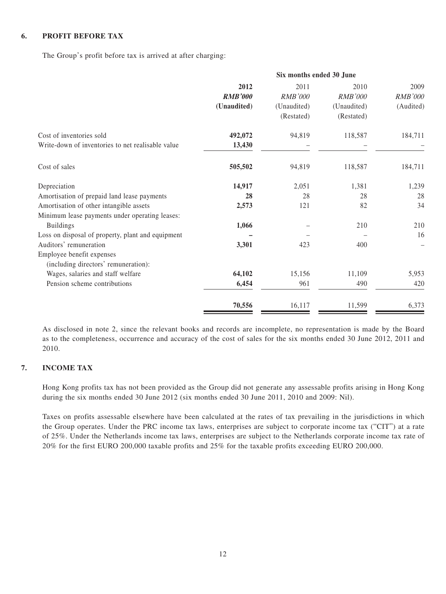#### **6. PROFIT BEFORE TAX**

The Group's profit before tax is arrived at after charging:

| 2012           | 2011           | 2010           | 2009                     |  |
|----------------|----------------|----------------|--------------------------|--|
| <b>RMB'000</b> | <b>RMB'000</b> | <b>RMB'000</b> | <b>RMB'000</b>           |  |
| (Unaudited)    | (Unaudited)    | (Unaudited)    | (Audited)                |  |
|                | (Restated)     | (Restated)     |                          |  |
| 492,072        | 94,819         | 118,587        | 184,711                  |  |
| 13,430         |                |                |                          |  |
| 505,502        | 94,819         | 118,587        | 184,711                  |  |
| 14,917         | 2,051          | 1,381          | 1,239                    |  |
| 28             | 28             | 28             | 28                       |  |
| 2,573          | 121            | 82             | 34                       |  |
|                |                |                |                          |  |
| 1,066          |                | 210            | 210                      |  |
|                |                |                | 16                       |  |
| 3,301          | 423            | 400            |                          |  |
|                |                |                |                          |  |
| 64,102         | 15,156         | 11,109         | 5,953                    |  |
| 6,454          | 961            | 490            | 420                      |  |
| 70,556         | 16,117         | 11,599         | 6,373                    |  |
|                |                |                | Six months ended 30 June |  |

As disclosed in note 2, since the relevant books and records are incomplete, no representation is made by the Board as to the completeness, occurrence and accuracy of the cost of sales for the six months ended 30 June 2012, 2011 and 2010.

#### **7. INCOME TAX**

Hong Kong profits tax has not been provided as the Group did not generate any assessable profits arising in Hong Kong during the six months ended 30 June 2012 (six months ended 30 June 2011, 2010 and 2009: Nil).

Taxes on profits assessable elsewhere have been calculated at the rates of tax prevailing in the jurisdictions in which the Group operates. Under the PRC income tax laws, enterprises are subject to corporate income tax ("CIT") at a rate of 25%. Under the Netherlands income tax laws, enterprises are subject to the Netherlands corporate income tax rate of 20% for the first EURO 200,000 taxable profits and 25% for the taxable profits exceeding EURO 200,000.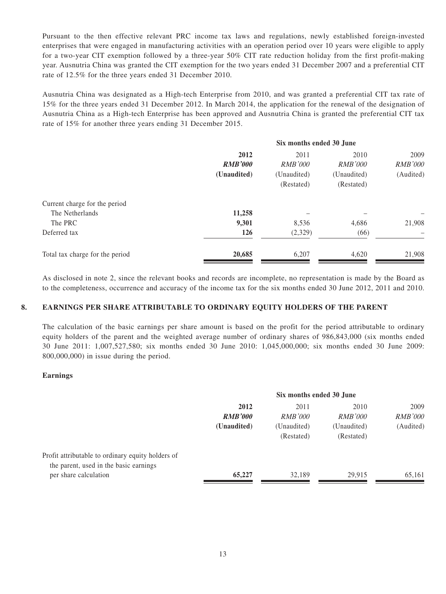Pursuant to the then effective relevant PRC income tax laws and regulations, newly established foreign-invested enterprises that were engaged in manufacturing activities with an operation period over 10 years were eligible to apply for a two-year CIT exemption followed by a three-year 50% CIT rate reduction holiday from the first profit-making year. Ausnutria China was granted the CIT exemption for the two years ended 31 December 2007 and a preferential CIT rate of 12.5% for the three years ended 31 December 2010.

Ausnutria China was designated as a High-tech Enterprise from 2010, and was granted a preferential CIT tax rate of 15% for the three years ended 31 December 2012. In March 2014, the application for the renewal of the designation of Ausnutria China as a High-tech Enterprise has been approved and Ausnutria China is granted the preferential CIT tax rate of 15% for another three years ending 31 December 2015.

| 2012           | 2011           | 2010           | 2009                     |  |
|----------------|----------------|----------------|--------------------------|--|
| <b>RMB'000</b> | <i>RMB'000</i> | <i>RMB'000</i> | <b>RMB'000</b>           |  |
| (Unaudited)    | (Unaudited)    | (Unaudited)    | (Audited)                |  |
|                | (Restated)     | (Restated)     |                          |  |
|                |                |                |                          |  |
| 11,258         |                |                |                          |  |
| 9,301          | 8,536          | 4,686          | 21,908                   |  |
| 126            | (2,329)        | (66)           |                          |  |
| 20,685         | 6,207          | 4,620          | 21,908                   |  |
|                |                |                | Six months ended 30 June |  |

As disclosed in note 2, since the relevant books and records are incomplete, no representation is made by the Board as to the completeness, occurrence and accuracy of the income tax for the six months ended 30 June 2012, 2011 and 2010.

#### **8. EARNINGS PER SHARE ATTRIBUTABLE TO ORDINARY EQUITY HOLDERS OF THE PARENT**

The calculation of the basic earnings per share amount is based on the profit for the period attributable to ordinary equity holders of the parent and the weighted average number of ordinary shares of 986,843,000 (six months ended 30 June 2011: 1,007,527,580; six months ended 30 June 2010: 1,045,000,000; six months ended 30 June 2009: 800,000,000) in issue during the period.

#### **Earnings**

|                                                                                             | Six months ended 30 June |                |                |                |  |  |
|---------------------------------------------------------------------------------------------|--------------------------|----------------|----------------|----------------|--|--|
|                                                                                             | 2012<br>2010<br>2011     |                |                |                |  |  |
|                                                                                             | <b>RMB'000</b>           | <i>RMB'000</i> | <i>RMB'000</i> | <i>RMB'000</i> |  |  |
|                                                                                             | (Unaudited)              | (Unaudited)    | (Unaudited)    | (Audited)      |  |  |
|                                                                                             |                          | (Restated)     | (Restated)     |                |  |  |
| Profit attributable to ordinary equity holders of<br>the parent, used in the basic earnings |                          |                |                |                |  |  |
| per share calculation                                                                       | 65,227                   | 32.189         | 29.915         | 65,161         |  |  |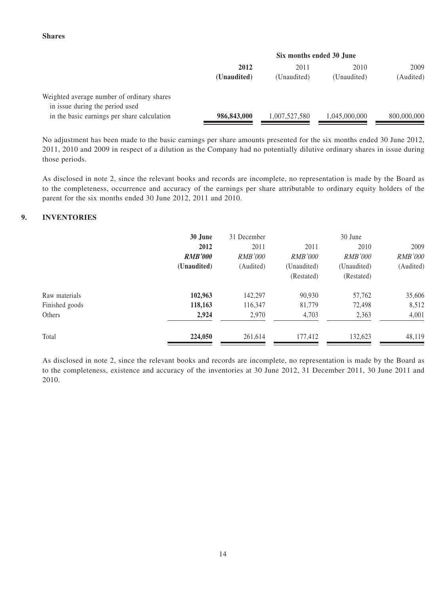#### **Shares**

|                                                                               | Six months ended 30 June |               |               |             |  |  |
|-------------------------------------------------------------------------------|--------------------------|---------------|---------------|-------------|--|--|
|                                                                               | 2012<br>2010<br>2011     |               |               |             |  |  |
|                                                                               | (Unaudited)              | (Unaudited)   | (Unaudited)   | (Audited)   |  |  |
| Weighted average number of ordinary shares<br>in issue during the period used |                          |               |               |             |  |  |
| in the basic earnings per share calculation                                   | 986,843,000              | 1,007,527,580 | 1,045,000,000 | 800,000,000 |  |  |

No adjustment has been made to the basic earnings per share amounts presented for the six months ended 30 June 2012, 2011, 2010 and 2009 in respect of a dilution as the Company had no potentially dilutive ordinary shares in issue during those periods.

As disclosed in note 2, since the relevant books and records are incomplete, no representation is made by the Board as to the completeness, occurrence and accuracy of the earnings per share attributable to ordinary equity holders of the parent for the six months ended 30 June 2012, 2011 and 2010.

#### **9. INVENTORIES**

|                | 30 June<br>31 December |                |                | 30 June        |                |  |
|----------------|------------------------|----------------|----------------|----------------|----------------|--|
|                | 2012                   | 2011           | 2011           | 2010           | 2009           |  |
|                | <b>RMB'000</b>         | <i>RMB'000</i> | <i>RMB'000</i> | <i>RMB'000</i> | <i>RMB'000</i> |  |
|                | (Unaudited)            | (Audited)      | (Unaudited)    | (Unaudited)    | (Audited)      |  |
|                |                        |                | (Restated)     | (Restated)     |                |  |
| Raw materials  | 102,963                | 142,297        | 90,930         | 57,762         | 35,606         |  |
| Finished goods | 118,163                | 116,347        | 81,779         | 72,498         | 8,512          |  |
| Others         | 2,924                  | 2,970          | 4,703          | 2,363          | 4,001          |  |
| Total          | 224,050                | 261,614        | 177,412        | 132,623        | 48,119         |  |

As disclosed in note 2, since the relevant books and records are incomplete, no representation is made by the Board as to the completeness, existence and accuracy of the inventories at 30 June 2012, 31 December 2011, 30 June 2011 and 2010.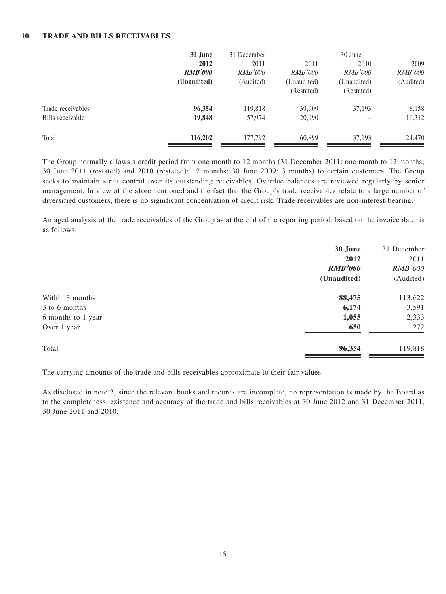#### **10. TRADE AND BILLS RECEIVABLES**

|                   | 30 June        |                |                | 30 June        |                |
|-------------------|----------------|----------------|----------------|----------------|----------------|
|                   | 2012           | 2011           | 2011           | 2010           | 2009           |
|                   | <b>RMB'000</b> | <i>RMB'000</i> | <i>RMB'000</i> | <i>RMB'000</i> | <i>RMB'000</i> |
|                   | (Unaudited)    | (Audited)      | (Unaudited)    | (Unaudited)    | (Audited)      |
|                   |                |                | (Restated)     | (Restated)     |                |
| Trade receivables | 96,354         | 119,818        | 39,909         | 37,193         | 8,158          |
| Bills receivable  | 19,848         | 57,974         | 20,990         |                | 16,312         |
| Total             | 116,202        | 177,792        | 60,899         | 37,193         | 24,470         |

The Group normally allows a credit period from one month to 12 months (31 December 2011: one month to 12 months; 30 June 2011 (restated) and 2010 (restated): 12 months; 30 June 2009: 3 months) to certain customers. The Group seeks to maintain strict control over its outstanding receivables. Overdue balances are reviewed regularly by senior management. In view of the aforementioned and the fact that the Group's trade receivables relate to a large number of diversified customers, there is no significant concentration of credit risk. Trade receivables are non-interest-bearing.

An aged analysis of the trade receivables of the Group as at the end of the reporting period, based on the invoice date, is as follows:

| 30 June        | 31 December    |
|----------------|----------------|
| 2012           | 2011           |
| <b>RMB'000</b> | <b>RMB'000</b> |
| (Unaudited)    | (Audited)      |
| 88,475         | 113,622        |
| 6,174          | 3,591          |
| 1,055          | 2,333          |
| 650            | 272            |
| 96,354         | 119,818        |
|                |                |

The carrying amounts of the trade and bills receivables approximate to their fair values.

As disclosed in note 2, since the relevant books and records are incomplete, no representation is made by the Board as to the completeness, existence and accuracy of the trade and bills receivables at 30 June 2012 and 31 December 2011, 30 June 2011 and 2010.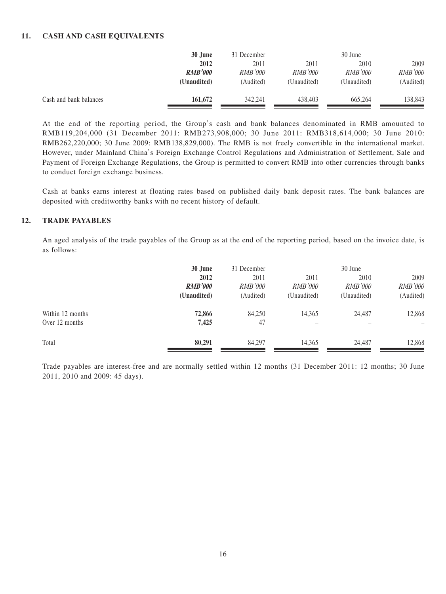#### **11. CASH AND CASH EQUIVALENTS**

|                        | 30 June        | 31 December    |                | 30 June        |                |  |
|------------------------|----------------|----------------|----------------|----------------|----------------|--|
|                        | 2012           | 2011           | 2011           | 2010           | 2009           |  |
|                        | <b>RMB'000</b> | <i>RMB'000</i> | <i>RMB'000</i> | <i>RMB'000</i> | <i>RMB'000</i> |  |
|                        | (Unaudited)    | (Audited)      | (Unaudited)    | (Unaudited)    | (Audited)      |  |
| Cash and bank balances | 161,672        | 342,241        | 438.403        | 665,264        | 138,843        |  |

At the end of the reporting period, the Group's cash and bank balances denominated in RMB amounted to RMB119,204,000 (31 December 2011: RMB273,908,000; 30 June 2011: RMB318,614,000; 30 June 2010: RMB262,220,000; 30 June 2009: RMB138,829,000). The RMB is not freely convertible in the international market. However, under Mainland China's Foreign Exchange Control Regulations and Administration of Settlement, Sale and Payment of Foreign Exchange Regulations, the Group is permitted to convert RMB into other currencies through banks to conduct foreign exchange business.

Cash at banks earns interest at floating rates based on published daily bank deposit rates. The bank balances are deposited with creditworthy banks with no recent history of default.

#### **12. TRADE PAYABLES**

An aged analysis of the trade payables of the Group as at the end of the reporting period, based on the invoice date, is as follows:

|                                    | 30 June<br>2012<br><b>RMB'000</b><br>(Unaudited) | 31 December<br>2011<br><i>RMB'000</i><br>(Audited) | 2011<br><i>RMB'000</i><br>(Unaudited) | 30 June<br>2010<br><i>RMB'000</i><br>(Unaudited) | 2009<br><b>RMB'000</b><br>(Audited) |
|------------------------------------|--------------------------------------------------|----------------------------------------------------|---------------------------------------|--------------------------------------------------|-------------------------------------|
| Within 12 months<br>Over 12 months | 72,866<br>7,425                                  | 84,250<br>47                                       | 14,365                                | 24,487                                           | 12,868<br>$\overline{\phantom{0}}$  |
| Total                              | 80,291                                           | 84,297                                             | 14.365                                | 24.487                                           | 12,868                              |

Trade payables are interest-free and are normally settled within 12 months (31 December 2011: 12 months; 30 June 2011, 2010 and 2009: 45 days).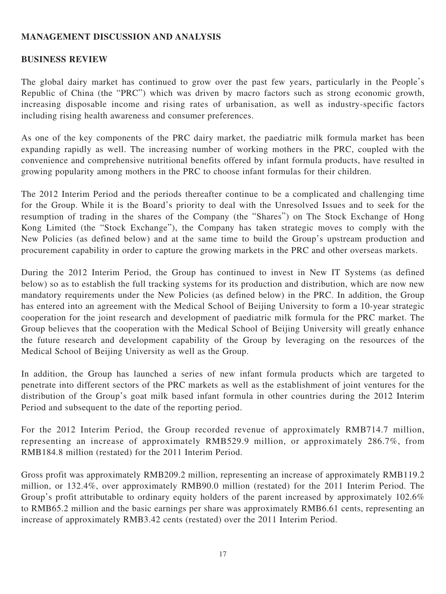## **MANAGEMENT DISCUSSION AND ANALYSIS**

#### **BUSINESS REVIEW**

The global dairy market has continued to grow over the past few years, particularly in the People's Republic of China (the "PRC") which was driven by macro factors such as strong economic growth, increasing disposable income and rising rates of urbanisation, as well as industry-specific factors including rising health awareness and consumer preferences.

As one of the key components of the PRC dairy market, the paediatric milk formula market has been expanding rapidly as well. The increasing number of working mothers in the PRC, coupled with the convenience and comprehensive nutritional benefits offered by infant formula products, have resulted in growing popularity among mothers in the PRC to choose infant formulas for their children.

The 2012 Interim Period and the periods thereafter continue to be a complicated and challenging time for the Group. While it is the Board's priority to deal with the Unresolved Issues and to seek for the resumption of trading in the shares of the Company (the "Shares") on The Stock Exchange of Hong Kong Limited (the "Stock Exchange"), the Company has taken strategic moves to comply with the New Policies (as defined below) and at the same time to build the Group's upstream production and procurement capability in order to capture the growing markets in the PRC and other overseas markets.

During the 2012 Interim Period, the Group has continued to invest in New IT Systems (as defined below) so as to establish the full tracking systems for its production and distribution, which are now new mandatory requirements under the New Policies (as defined below) in the PRC. In addition, the Group has entered into an agreement with the Medical School of Beijing University to form a 10-year strategic cooperation for the joint research and development of paediatric milk formula for the PRC market. The Group believes that the cooperation with the Medical School of Beijing University will greatly enhance the future research and development capability of the Group by leveraging on the resources of the Medical School of Beijing University as well as the Group.

In addition, the Group has launched a series of new infant formula products which are targeted to penetrate into different sectors of the PRC markets as well as the establishment of joint ventures for the distribution of the Group's goat milk based infant formula in other countries during the 2012 Interim Period and subsequent to the date of the reporting period.

For the 2012 Interim Period, the Group recorded revenue of approximately RMB714.7 million, representing an increase of approximately RMB529.9 million, or approximately 286.7%, from RMB184.8 million (restated) for the 2011 Interim Period.

Gross profit was approximately RMB209.2 million, representing an increase of approximately RMB119.2 million, or 132.4%, over approximately RMB90.0 million (restated) for the 2011 Interim Period. The Group's profit attributable to ordinary equity holders of the parent increased by approximately 102.6% to RMB65.2 million and the basic earnings per share was approximately RMB6.61 cents, representing an increase of approximately RMB3.42 cents (restated) over the 2011 Interim Period.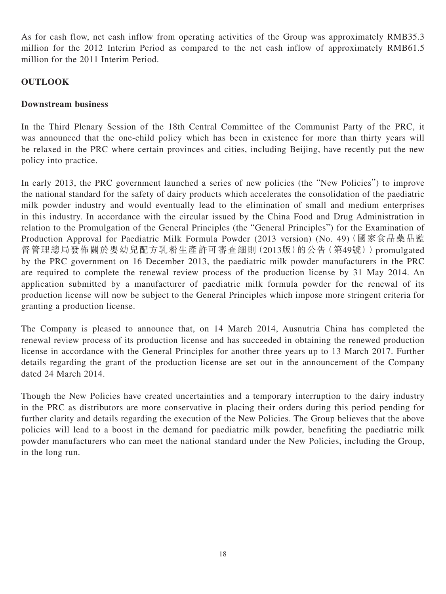As for cash flow, net cash inflow from operating activities of the Group was approximately RMB35.3 million for the 2012 Interim Period as compared to the net cash inflow of approximately RMB61.5 million for the 2011 Interim Period.

## **OUTLOOK**

#### **Downstream business**

In the Third Plenary Session of the 18th Central Committee of the Communist Party of the PRC, it was announced that the one-child policy which has been in existence for more than thirty years will be relaxed in the PRC where certain provinces and cities, including Beijing, have recently put the new policy into practice.

In early 2013, the PRC government launched a series of new policies (the "New Policies") to improve the national standard for the safety of dairy products which accelerates the consolidation of the paediatric milk powder industry and would eventually lead to the elimination of small and medium enterprises in this industry. In accordance with the circular issued by the China Food and Drug Administration in relation to the Promulgation of the General Principles (the "General Principles") for the Examination of Production Approval for Paediatric Milk Formula Powder (2013 version) (No. 49)(國家食品藥品監 督管理總局發佈關於嬰幼兒配方乳粉生產許可審查細則(2013版)的公告(第49號))promulgated by the PRC government on 16 December 2013, the paediatric milk powder manufacturers in the PRC are required to complete the renewal review process of the production license by 31 May 2014. An application submitted by a manufacturer of paediatric milk formula powder for the renewal of its production license will now be subject to the General Principles which impose more stringent criteria for granting a production license.

The Company is pleased to announce that, on 14 March 2014, Ausnutria China has completed the renewal review process of its production license and has succeeded in obtaining the renewed production license in accordance with the General Principles for another three years up to 13 March 2017. Further details regarding the grant of the production license are set out in the announcement of the Company dated 24 March 2014.

Though the New Policies have created uncertainties and a temporary interruption to the dairy industry in the PRC as distributors are more conservative in placing their orders during this period pending for further clarity and details regarding the execution of the New Policies. The Group believes that the above policies will lead to a boost in the demand for paediatric milk powder, benefiting the paediatric milk powder manufacturers who can meet the national standard under the New Policies, including the Group, in the long run.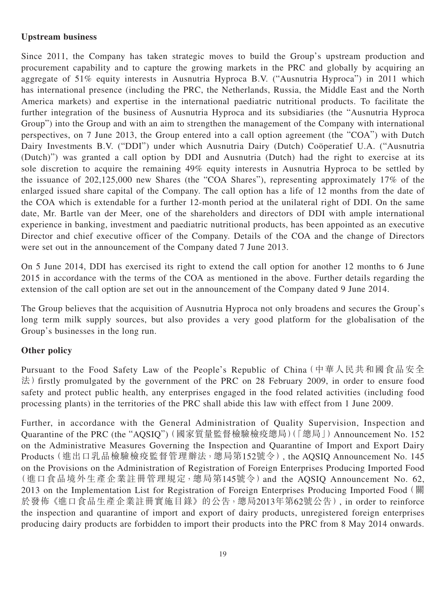## **Upstream business**

Since 2011, the Company has taken strategic moves to build the Group's upstream production and procurement capability and to capture the growing markets in the PRC and globally by acquiring an aggregate of 51% equity interests in Ausnutria Hyproca B.V. ("Ausnutria Hyproca") in 2011 which has international presence (including the PRC, the Netherlands, Russia, the Middle East and the North America markets) and expertise in the international paediatric nutritional products. To facilitate the further integration of the business of Ausnutria Hyproca and its subsidiaries (the "Ausnutria Hyproca Group") into the Group and with an aim to strengthen the management of the Company with international perspectives, on 7 June 2013, the Group entered into a call option agreement (the "COA") with Dutch Dairy Investments B.V. ("DDI") under which Ausnutria Dairy (Dutch) Coöperatief U.A. ("Ausnutria (Dutch)") was granted a call option by DDI and Ausnutria (Dutch) had the right to exercise at its sole discretion to acquire the remaining 49% equity interests in Ausnutria Hyproca to be settled by the issuance of 202,125,000 new Shares (the "COA Shares"), representing approximately 17% of the enlarged issued share capital of the Company. The call option has a life of 12 months from the date of the COA which is extendable for a further 12-month period at the unilateral right of DDI. On the same date, Mr. Bartle van der Meer, one of the shareholders and directors of DDI with ample international experience in banking, investment and paediatric nutritional products, has been appointed as an executive Director and chief executive officer of the Company. Details of the COA and the change of Directors were set out in the announcement of the Company dated 7 June 2013.

On 5 June 2014, DDI has exercised its right to extend the call option for another 12 months to 6 June 2015 in accordance with the terms of the COA as mentioned in the above. Further details regarding the extension of the call option are set out in the announcement of the Company dated 9 June 2014.

The Group believes that the acquisition of Ausnutria Hyproca not only broadens and secures the Group's long term milk supply sources, but also provides a very good platform for the globalisation of the Group's businesses in the long run.

## **Other policy**

Pursuant to the Food Safety Law of the People's Republic of China(中華人民共和國食品安全 法) firstly promulgated by the government of the PRC on 28 February 2009, in order to ensure food safety and protect public health, any enterprises engaged in the food related activities (including food processing plants) in the territories of the PRC shall abide this law with effect from 1 June 2009.

Further, in accordance with the General Administration of Quality Supervision, Inspection and Quarantine of the PRC (the "AQSIQ")(國家質量監督檢驗檢疫總局)(「總局」)Announcement No. 152 on the Administrative Measures Governing the Inspection and Quarantine of Import and Export Dairy Products(進出口乳品檢驗檢疫監督管理辦法,總局第152號令), the AQSIQ Announcement No. 145 on the Provisions on the Administration of Registration of Foreign Enterprises Producing Imported Food (進口食品境外生產企業註冊管理規定,總局第145號令)and the AQSIQ Announcement No. 62, 2013 on the Implementation List for Registration of Foreign Enterprises Producing Imported Food (關 於發佈《進口食品生產企業註冊實施目錄》的公告,總局2013年第62號公告), in order to reinforce the inspection and quarantine of import and export of dairy products, unregistered foreign enterprises producing dairy products are forbidden to import their products into the PRC from 8 May 2014 onwards.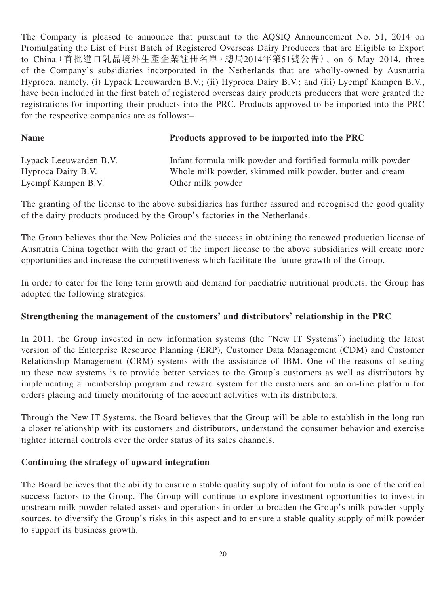The Company is pleased to announce that pursuant to the AQSIQ Announcement No. 51, 2014 on Promulgating the List of First Batch of Registered Overseas Dairy Producers that are Eligible to Export to China(首批進口乳品境外生產企業註冊名單,總局2014年第51號公告), on 6 May 2014, three of the Company's subsidiaries incorporated in the Netherlands that are wholly-owned by Ausnutria Hyproca, namely, (i) Lypack Leeuwarden B.V.; (ii) Hyproca Dairy B.V.; and (iii) Lyempf Kampen B.V., have been included in the first batch of registered overseas dairy products producers that were granted the registrations for importing their products into the PRC. Products approved to be imported into the PRC for the respective companies are as follows:–

## **Name Products approved to be imported into the PRC**

| Lypack Leeuwarden B.V. | Infant formula milk powder and fortified formula milk powder |
|------------------------|--------------------------------------------------------------|
| Hyproca Dairy B.V.     | Whole milk powder, skimmed milk powder, butter and cream     |
| Lyempf Kampen B.V.     | Other milk powder                                            |

The granting of the license to the above subsidiaries has further assured and recognised the good quality of the dairy products produced by the Group's factories in the Netherlands.

The Group believes that the New Policies and the success in obtaining the renewed production license of Ausnutria China together with the grant of the import license to the above subsidiaries will create more opportunities and increase the competitiveness which facilitate the future growth of the Group.

In order to cater for the long term growth and demand for paediatric nutritional products, the Group has adopted the following strategies:

## **Strengthening the management of the customers' and distributors' relationship in the PRC**

In 2011, the Group invested in new information systems (the "New IT Systems") including the latest version of the Enterprise Resource Planning (ERP), Customer Data Management (CDM) and Customer Relationship Management (CRM) systems with the assistance of IBM. One of the reasons of setting up these new systems is to provide better services to the Group's customers as well as distributors by implementing a membership program and reward system for the customers and an on-line platform for orders placing and timely monitoring of the account activities with its distributors.

Through the New IT Systems, the Board believes that the Group will be able to establish in the long run a closer relationship with its customers and distributors, understand the consumer behavior and exercise tighter internal controls over the order status of its sales channels.

## **Continuing the strategy of upward integration**

The Board believes that the ability to ensure a stable quality supply of infant formula is one of the critical success factors to the Group. The Group will continue to explore investment opportunities to invest in upstream milk powder related assets and operations in order to broaden the Group's milk powder supply sources, to diversify the Group's risks in this aspect and to ensure a stable quality supply of milk powder to support its business growth.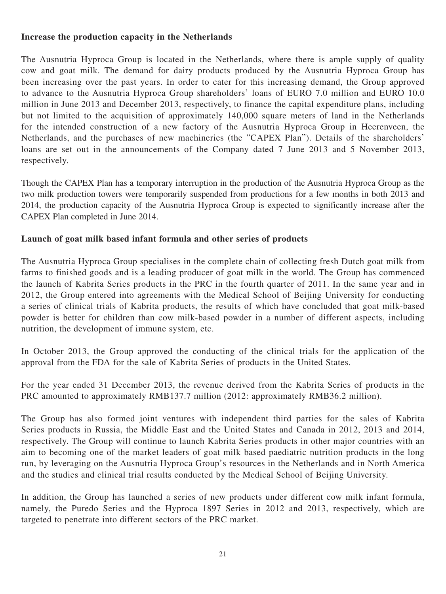## **Increase the production capacity in the Netherlands**

The Ausnutria Hyproca Group is located in the Netherlands, where there is ample supply of quality cow and goat milk. The demand for dairy products produced by the Ausnutria Hyproca Group has been increasing over the past years. In order to cater for this increasing demand, the Group approved to advance to the Ausnutria Hyproca Group shareholders' loans of EURO 7.0 million and EURO 10.0 million in June 2013 and December 2013, respectively, to finance the capital expenditure plans, including but not limited to the acquisition of approximately 140,000 square meters of land in the Netherlands for the intended construction of a new factory of the Ausnutria Hyproca Group in Heerenveen, the Netherlands, and the purchases of new machineries (the "CAPEX Plan"). Details of the shareholders' loans are set out in the announcements of the Company dated 7 June 2013 and 5 November 2013, respectively.

Though the CAPEX Plan has a temporary interruption in the production of the Ausnutria Hyproca Group as the two milk production towers were temporarily suspended from productions for a few months in both 2013 and 2014, the production capacity of the Ausnutria Hyproca Group is expected to significantly increase after the CAPEX Plan completed in June 2014.

## **Launch of goat milk based infant formula and other series of products**

The Ausnutria Hyproca Group specialises in the complete chain of collecting fresh Dutch goat milk from farms to finished goods and is a leading producer of goat milk in the world. The Group has commenced the launch of Kabrita Series products in the PRC in the fourth quarter of 2011. In the same year and in 2012, the Group entered into agreements with the Medical School of Beijing University for conducting a series of clinical trials of Kabrita products, the results of which have concluded that goat milk-based powder is better for children than cow milk-based powder in a number of different aspects, including nutrition, the development of immune system, etc.

In October 2013, the Group approved the conducting of the clinical trials for the application of the approval from the FDA for the sale of Kabrita Series of products in the United States.

For the year ended 31 December 2013, the revenue derived from the Kabrita Series of products in the PRC amounted to approximately RMB137.7 million (2012: approximately RMB36.2 million).

The Group has also formed joint ventures with independent third parties for the sales of Kabrita Series products in Russia, the Middle East and the United States and Canada in 2012, 2013 and 2014, respectively. The Group will continue to launch Kabrita Series products in other major countries with an aim to becoming one of the market leaders of goat milk based paediatric nutrition products in the long run, by leveraging on the Ausnutria Hyproca Group's resources in the Netherlands and in North America and the studies and clinical trial results conducted by the Medical School of Beijing University.

In addition, the Group has launched a series of new products under different cow milk infant formula, namely, the Puredo Series and the Hyproca 1897 Series in 2012 and 2013, respectively, which are targeted to penetrate into different sectors of the PRC market.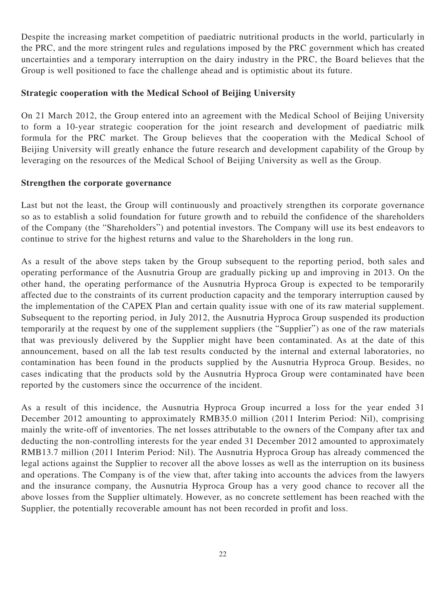Despite the increasing market competition of paediatric nutritional products in the world, particularly in the PRC, and the more stringent rules and regulations imposed by the PRC government which has created uncertainties and a temporary interruption on the dairy industry in the PRC, the Board believes that the Group is well positioned to face the challenge ahead and is optimistic about its future.

## **Strategic cooperation with the Medical School of Beijing University**

On 21 March 2012, the Group entered into an agreement with the Medical School of Beijing University to form a 10-year strategic cooperation for the joint research and development of paediatric milk formula for the PRC market. The Group believes that the cooperation with the Medical School of Beijing University will greatly enhance the future research and development capability of the Group by leveraging on the resources of the Medical School of Beijing University as well as the Group.

#### **Strengthen the corporate governance**

Last but not the least, the Group will continuously and proactively strengthen its corporate governance so as to establish a solid foundation for future growth and to rebuild the confidence of the shareholders of the Company (the "Shareholders") and potential investors. The Company will use its best endeavors to continue to strive for the highest returns and value to the Shareholders in the long run.

As a result of the above steps taken by the Group subsequent to the reporting period, both sales and operating performance of the Ausnutria Group are gradually picking up and improving in 2013. On the other hand, the operating performance of the Ausnutria Hyproca Group is expected to be temporarily affected due to the constraints of its current production capacity and the temporary interruption caused by the implementation of the CAPEX Plan and certain quality issue with one of its raw material supplement. Subsequent to the reporting period, in July 2012, the Ausnutria Hyproca Group suspended its production temporarily at the request by one of the supplement suppliers (the "Supplier") as one of the raw materials that was previously delivered by the Supplier might have been contaminated. As at the date of this announcement, based on all the lab test results conducted by the internal and external laboratories, no contamination has been found in the products supplied by the Ausnutria Hyproca Group. Besides, no cases indicating that the products sold by the Ausnutria Hyproca Group were contaminated have been reported by the customers since the occurrence of the incident.

As a result of this incidence, the Ausnutria Hyproca Group incurred a loss for the year ended 31 December 2012 amounting to approximately RMB35.0 million (2011 Interim Period: Nil), comprising mainly the write-off of inventories. The net losses attributable to the owners of the Company after tax and deducting the non-controlling interests for the year ended 31 December 2012 amounted to approximately RMB13.7 million (2011 Interim Period: Nil). The Ausnutria Hyproca Group has already commenced the legal actions against the Supplier to recover all the above losses as well as the interruption on its business and operations. The Company is of the view that, after taking into accounts the advices from the lawyers and the insurance company, the Ausnutria Hyproca Group has a very good chance to recover all the above losses from the Supplier ultimately. However, as no concrete settlement has been reached with the Supplier, the potentially recoverable amount has not been recorded in profit and loss.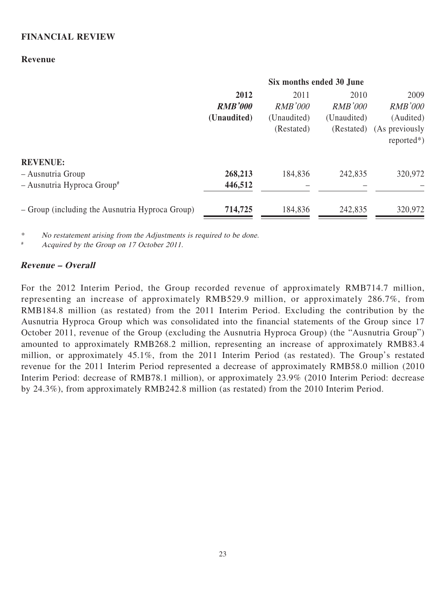#### **FINANCIAL REVIEW**

#### **Revenue**

|                                                 | Six months ended 30 June |                |                |                                 |
|-------------------------------------------------|--------------------------|----------------|----------------|---------------------------------|
|                                                 | 2012                     | 2011           | 2010           | 2009                            |
|                                                 | <b>RMB'000</b>           | <b>RMB'000</b> | <i>RMB'000</i> | <b>RMB'000</b>                  |
|                                                 | (Unaudited)              | (Unaudited)    | (Unaudited)    | (Audited)                       |
|                                                 |                          | (Restated)     | (Restated)     | (As previously<br>$reported*$ ) |
| <b>REVENUE:</b>                                 |                          |                |                |                                 |
| - Ausnutria Group                               | 268,213                  | 184,836        | 242,835        | 320,972                         |
| $-$ Ausnutria Hyproca Group <sup>#</sup>        | 446,512                  |                |                |                                 |
| - Group (including the Ausnutria Hyproca Group) | 714,725                  | 184,836        | 242,835        | 320,972                         |

\* No restatement arising from the Adjustments is required to be done.

Acquired by the Group on 17 October 2011.

#### **Revenue – Overall**

For the 2012 Interim Period, the Group recorded revenue of approximately RMB714.7 million, representing an increase of approximately RMB529.9 million, or approximately 286.7%, from RMB184.8 million (as restated) from the 2011 Interim Period. Excluding the contribution by the Ausnutria Hyproca Group which was consolidated into the financial statements of the Group since 17 October 2011, revenue of the Group (excluding the Ausnutria Hyproca Group) (the "Ausnutria Group") amounted to approximately RMB268.2 million, representing an increase of approximately RMB83.4 million, or approximately 45.1%, from the 2011 Interim Period (as restated). The Group's restated revenue for the 2011 Interim Period represented a decrease of approximately RMB58.0 million (2010 Interim Period: decrease of RMB78.1 million), or approximately 23.9% (2010 Interim Period: decrease by 24.3%), from approximately RMB242.8 million (as restated) from the 2010 Interim Period.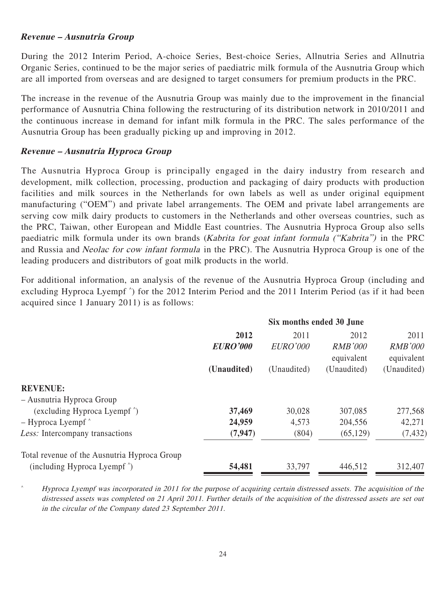#### **Revenue – Ausnutria Group**

During the 2012 Interim Period, A-choice Series, Best-choice Series, Allnutria Series and Allnutria Organic Series, continued to be the major series of paediatric milk formula of the Ausnutria Group which are all imported from overseas and are designed to target consumers for premium products in the PRC.

The increase in the revenue of the Ausnutria Group was mainly due to the improvement in the financial performance of Ausnutria China following the restructuring of its distribution network in 2010/2011 and the continuous increase in demand for infant milk formula in the PRC. The sales performance of the Ausnutria Group has been gradually picking up and improving in 2012.

## **Revenue – Ausnutria Hyproca Group**

The Ausnutria Hyproca Group is principally engaged in the dairy industry from research and development, milk collection, processing, production and packaging of dairy products with production facilities and milk sources in the Netherlands for own labels as well as under original equipment manufacturing ("OEM") and private label arrangements. The OEM and private label arrangements are serving cow milk dairy products to customers in the Netherlands and other overseas countries, such as the PRC, Taiwan, other European and Middle East countries. The Ausnutria Hyproca Group also sells paediatric milk formula under its own brands (Kabrita for goat infant formula ("Kabrita") in the PRC and Russia and Neolac for cow infant formula in the PRC). The Ausnutria Hyproca Group is one of the leading producers and distributors of goat milk products in the world.

For additional information, an analysis of the revenue of the Ausnutria Hyproca Group (including and excluding Hyproca Lyempf ^ ) for the 2012 Interim Period and the 2011 Interim Period (as if it had been acquired since 1 January 2011) is as follows:

|                                                              | Six months ended 30 June |                 |                              |                              |  |
|--------------------------------------------------------------|--------------------------|-----------------|------------------------------|------------------------------|--|
|                                                              | 2012                     | 2011            | 2012                         | 2011                         |  |
|                                                              | <b>EURO'000</b>          | <i>EURO'000</i> | <b>RMB'000</b><br>equivalent | <b>RMB'000</b><br>equivalent |  |
|                                                              | (Unaudited)              | (Unaudited)     | (Unaudited)                  | (Unaudited)                  |  |
| <b>REVENUE:</b>                                              |                          |                 |                              |                              |  |
| - Ausnutria Hyproca Group                                    |                          |                 |                              |                              |  |
| (excluding Hyproca Lyempf <sup><math>\hat{\ }</math></sup> ) | 37,469                   | 30,028          | 307,085                      | 277,568                      |  |
| $-$ Hyproca Lyempf $\hat{\ }$                                | 24,959                   | 4,573           | 204,556                      | 42,271                       |  |
| Less: Intercompany transactions                              | (7, 947)                 | (804)           | (65, 129)                    | (7, 432)                     |  |
| Total revenue of the Ausnutria Hyproca Group                 |                          |                 |                              |                              |  |
| (including Hyproca Lyempf <sup><math>\hat{\ }</math></sup> ) | 54,481                   | 33,797          | 446,512                      | 312,407                      |  |

Hyproca Lyempf was incorporated in 2011 for the purpose of acquiring certain distressed assets. The acquisition of the distressed assets was completed on 21 April 2011. Further details of the acquisition of the distressed assets are set out in the circular of the Company dated 23 September 2011.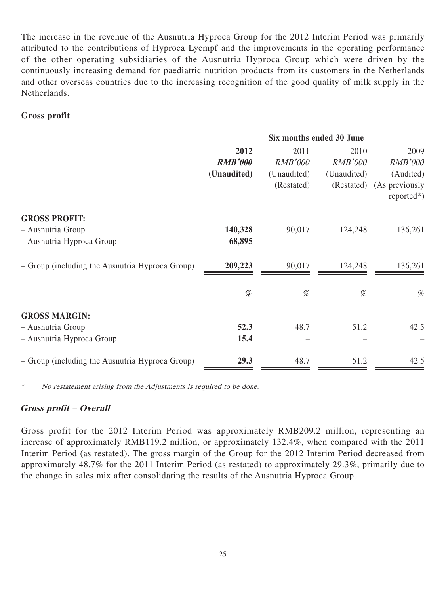The increase in the revenue of the Ausnutria Hyproca Group for the 2012 Interim Period was primarily attributed to the contributions of Hyproca Lyempf and the improvements in the operating performance of the other operating subsidiaries of the Ausnutria Hyproca Group which were driven by the continuously increasing demand for paediatric nutrition products from its customers in the Netherlands and other overseas countries due to the increasing recognition of the good quality of milk supply in the Netherlands.

## **Gross profit**

|                                                 | Six months ended 30 June                                                                                                        |                |                |                                |  |
|-------------------------------------------------|---------------------------------------------------------------------------------------------------------------------------------|----------------|----------------|--------------------------------|--|
|                                                 | 2012                                                                                                                            | 2011           | 2010           | 2009                           |  |
|                                                 | <b>RMB'000</b>                                                                                                                  | <b>RMB'000</b> | <b>RMB'000</b> | <b>RMB'000</b>                 |  |
|                                                 | (Unaudited)                                                                                                                     | (Unaudited)    | (Unaudited)    | (Audited)                      |  |
|                                                 |                                                                                                                                 | (Restated)     | (Restated)     | (As previously<br>$reported*)$ |  |
| <b>GROSS PROFIT:</b>                            |                                                                                                                                 |                |                |                                |  |
| - Ausnutria Group                               | 140,328                                                                                                                         | 90,017         | 124,248        | 136,261                        |  |
| - Ausnutria Hyproca Group                       | 68,895                                                                                                                          |                |                |                                |  |
| - Group (including the Ausnutria Hyproca Group) | 209,223                                                                                                                         | 90,017         | 124,248        | 136,261                        |  |
|                                                 | $% \mathcal{P}_{\mathcal{A}}^{\mathcal{A}}\!\left( \mathcal{A} \right) = \mathcal{A}^{\mathcal{A}}\!\left( \mathcal{A} \right)$ | %              | $\%$           | %                              |  |
| <b>GROSS MARGIN:</b>                            |                                                                                                                                 |                |                |                                |  |
| - Ausnutria Group                               | 52.3                                                                                                                            | 48.7           | 51.2           | 42.5                           |  |
| - Ausnutria Hyproca Group                       | 15.4                                                                                                                            |                |                |                                |  |
| - Group (including the Ausnutria Hyproca Group) | 29.3                                                                                                                            | 48.7           | 51.2           | 42.5                           |  |

\* No restatement arising from the Adjustments is required to be done.

## **Gross profit – Overall**

Gross profit for the 2012 Interim Period was approximately RMB209.2 million, representing an increase of approximately RMB119.2 million, or approximately 132.4%, when compared with the 2011 Interim Period (as restated). The gross margin of the Group for the 2012 Interim Period decreased from approximately 48.7% for the 2011 Interim Period (as restated) to approximately 29.3%, primarily due to the change in sales mix after consolidating the results of the Ausnutria Hyproca Group.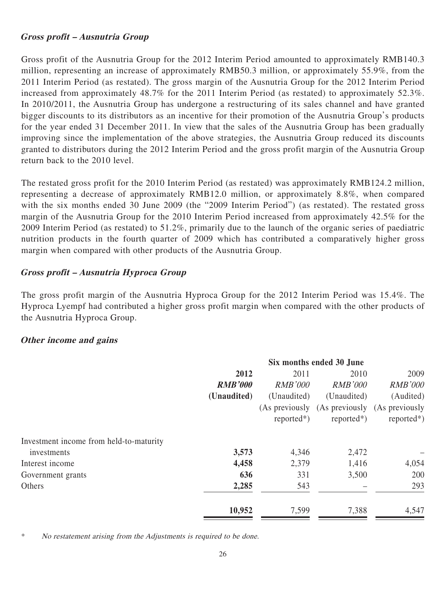## **Gross profit – Ausnutria Group**

Gross profit of the Ausnutria Group for the 2012 Interim Period amounted to approximately RMB140.3 million, representing an increase of approximately RMB50.3 million, or approximately 55.9%, from the 2011 Interim Period (as restated). The gross margin of the Ausnutria Group for the 2012 Interim Period increased from approximately 48.7% for the 2011 Interim Period (as restated) to approximately 52.3%. In 2010/2011, the Ausnutria Group has undergone a restructuring of its sales channel and have granted bigger discounts to its distributors as an incentive for their promotion of the Ausnutria Group's products for the year ended 31 December 2011. In view that the sales of the Ausnutria Group has been gradually improving since the implementation of the above strategies, the Ausnutria Group reduced its discounts granted to distributors during the 2012 Interim Period and the gross profit margin of the Ausnutria Group return back to the 2010 level.

The restated gross profit for the 2010 Interim Period (as restated) was approximately RMB124.2 million, representing a decrease of approximately RMB12.0 million, or approximately 8.8%, when compared with the six months ended 30 June 2009 (the "2009 Interim Period") (as restated). The restated gross margin of the Ausnutria Group for the 2010 Interim Period increased from approximately 42.5% for the 2009 Interim Period (as restated) to 51.2%, primarily due to the launch of the organic series of paediatric nutrition products in the fourth quarter of 2009 which has contributed a comparatively higher gross margin when compared with other products of the Ausnutria Group.

## **Gross profit – Ausnutria Hyproca Group**

The gross profit margin of the Ausnutria Hyproca Group for the 2012 Interim Period was 15.4%. The Hyproca Lyempf had contributed a higher gross profit margin when compared with the other products of the Ausnutria Hyproca Group.

## **Other income and gains**

|                                         | Six months ended 30 June |                |                |                               |
|-----------------------------------------|--------------------------|----------------|----------------|-------------------------------|
|                                         | 2012                     | 2011           | 2010           | 2009                          |
|                                         | <b>RMB'000</b>           | <i>RMB'000</i> | <i>RMB'000</i> | <b>RMB'000</b>                |
|                                         | (Unaudited)              | (Unaudited)    | (Unaudited)    | (Audited)                     |
|                                         |                          | (As previously |                | (As previously (As previously |
|                                         |                          | $reported*$ )  | $reported*)$   | $reported*$ )                 |
| Investment income from held-to-maturity |                          |                |                |                               |
| investments                             | 3,573                    | 4,346          | 2,472          |                               |
| Interest income                         | 4,458                    | 2,379          | 1,416          | 4,054                         |
| Government grants                       | 636                      | 331            | 3,500          | 200                           |
| Others                                  | 2,285                    | 543            |                | 293                           |
|                                         | 10,952                   | 7,599          | 7,388          | 4,547                         |

No restatement arising from the Adjustments is required to be done.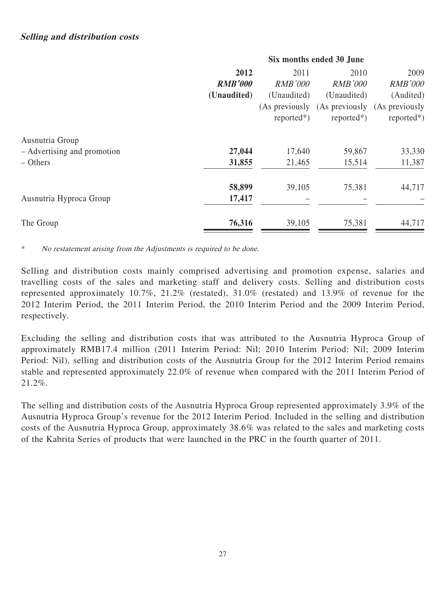#### **Six months ended 30 June**

|                                                              | 2012<br><b>RMB'000</b><br>(Unaudited) | 2011<br><b>RMB'000</b><br>(Unaudited)<br>(As previously<br>$reported*$ ) | 2010<br><b>RMB'000</b><br>(Unaudited)<br>(As previously<br>$reported*)$ | 2009<br><b>RMB'000</b><br>(Audited)<br>(As previously<br>$reported*)$ |
|--------------------------------------------------------------|---------------------------------------|--------------------------------------------------------------------------|-------------------------------------------------------------------------|-----------------------------------------------------------------------|
| Ausnutria Group<br>- Advertising and promotion<br>$-$ Others | 27,044<br>31,855                      | 17,640<br>21,465                                                         | 59,867<br>15,514                                                        | 33,330<br>11,387                                                      |
| Ausnutria Hyproca Group                                      | 58,899<br>17,417                      | 39,105                                                                   | 75,381                                                                  | 44,717                                                                |
| The Group                                                    | 76,316                                | 39,105                                                                   | 75,381                                                                  | 44,717                                                                |

\* No restatement arising from the Adjustments is required to be done.

Selling and distribution costs mainly comprised advertising and promotion expense, salaries and travelling costs of the sales and marketing staff and delivery costs. Selling and distribution costs represented approximately 10.7%, 21.2% (restated), 31.0% (restated) and 13.9% of revenue for the 2012 Interim Period, the 2011 Interim Period, the 2010 Interim Period and the 2009 Interim Period, respectively.

Excluding the selling and distribution costs that was attributed to the Ausnutria Hyproca Group of approximately RMB17.4 million (2011 Interim Period: Nil; 2010 Interim Period: Nil; 2009 Interim Period: Nil), selling and distribution costs of the Ausnutria Group for the 2012 Interim Period remains stable and represented approximately 22.0% of revenue when compared with the 2011 Interim Period of 21.2%.

The selling and distribution costs of the Ausnutria Hyproca Group represented approximately 3.9% of the Ausnutria Hyproca Group's revenue for the 2012 Interim Period. Included in the selling and distribution costs of the Ausnutria Hyproca Group, approximately 38.6% was related to the sales and marketing costs of the Kabrita Series of products that were launched in the PRC in the fourth quarter of 2011.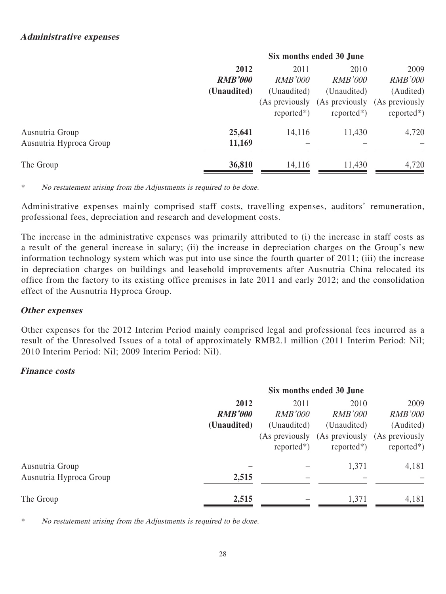| 2012           | 2011           | 2010           | 2009                                       |  |
|----------------|----------------|----------------|--------------------------------------------|--|
| <b>RMB'000</b> | <b>RMB'000</b> | <i>RMB'000</i> | <b>RMB'000</b>                             |  |
| (Unaudited)    | (Unaudited)    | (Unaudited)    | (Audited)                                  |  |
|                |                |                | (As previously (As previously              |  |
|                | $reported*$ )  | $reported*$ )  | $reported*$ )                              |  |
| 25,641         | 14,116         | 11,430         | 4,720                                      |  |
| 11,169         |                |                |                                            |  |
| 36,810         | 14,116         | 11,430         | 4,720                                      |  |
|                |                |                | Six months ended 30 June<br>(As previously |  |

\* No restatement arising from the Adjustments is required to be done.

Administrative expenses mainly comprised staff costs, travelling expenses, auditors' remuneration, professional fees, depreciation and research and development costs.

The increase in the administrative expenses was primarily attributed to (i) the increase in staff costs as a result of the general increase in salary; (ii) the increase in depreciation charges on the Group's new information technology system which was put into use since the fourth quarter of 2011; (iii) the increase in depreciation charges on buildings and leasehold improvements after Ausnutria China relocated its office from the factory to its existing office premises in late 2011 and early 2012; and the consolidation effect of the Ausnutria Hyproca Group.

## **Other expenses**

Other expenses for the 2012 Interim Period mainly comprised legal and professional fees incurred as a result of the Unresolved Issues of a total of approximately RMB2.1 million (2011 Interim Period: Nil; 2010 Interim Period: Nil; 2009 Interim Period: Nil).

#### **Finance costs**

|                         | Six months ended 30 June |                |                                              |                |  |
|-------------------------|--------------------------|----------------|----------------------------------------------|----------------|--|
|                         | 2012                     | 2011           | 2010                                         | 2009           |  |
|                         | <b>RMB'000</b>           | <i>RMB'000</i> | <i>RMB'000</i>                               | <b>RMB'000</b> |  |
|                         | (Unaudited)              | (Unaudited)    | (Unaudited)                                  | (Audited)      |  |
|                         |                          |                | (As previously (As previously (As previously |                |  |
|                         |                          | $reported*)$   | $reported*$ )                                | $reported*)$   |  |
| Ausnutria Group         |                          |                | 1,371                                        | 4,181          |  |
| Ausnutria Hyproca Group | 2,515                    |                |                                              |                |  |
| The Group               | 2,515                    |                | 1,371                                        | 4,181          |  |

No restatement arising from the Adjustments is required to be done.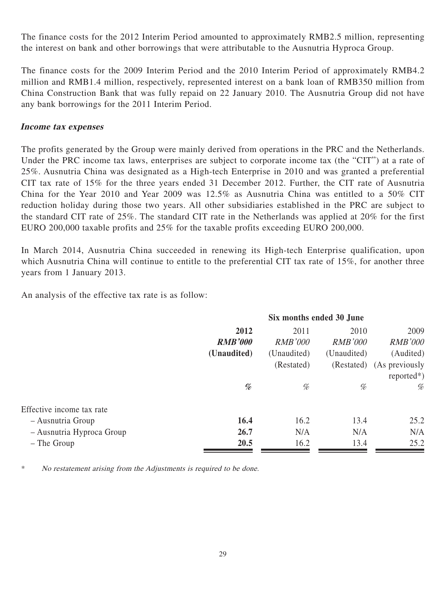The finance costs for the 2012 Interim Period amounted to approximately RMB2.5 million, representing the interest on bank and other borrowings that were attributable to the Ausnutria Hyproca Group.

The finance costs for the 2009 Interim Period and the 2010 Interim Period of approximately RMB4.2 million and RMB1.4 million, respectively, represented interest on a bank loan of RMB350 million from China Construction Bank that was fully repaid on 22 January 2010. The Ausnutria Group did not have any bank borrowings for the 2011 Interim Period.

#### **Income tax expenses**

The profits generated by the Group were mainly derived from operations in the PRC and the Netherlands. Under the PRC income tax laws, enterprises are subject to corporate income tax (the "CIT") at a rate of 25%. Ausnutria China was designated as a High-tech Enterprise in 2010 and was granted a preferential CIT tax rate of 15% for the three years ended 31 December 2012. Further, the CIT rate of Ausnutria China for the Year 2010 and Year 2009 was 12.5% as Ausnutria China was entitled to a 50% CIT reduction holiday during those two years. All other subsidiaries established in the PRC are subject to the standard CIT rate of 25%. The standard CIT rate in the Netherlands was applied at 20% for the first EURO 200,000 taxable profits and 25% for the taxable profits exceeding EURO 200,000.

In March 2014, Ausnutria China succeeded in renewing its High-tech Enterprise qualification, upon which Ausnutria China will continue to entitle to the preferential CIT tax rate of 15%, for another three years from 1 January 2013.

An analysis of the effective tax rate is as follow:

|                           | Six months ended 30 June |                |                |                           |  |
|---------------------------|--------------------------|----------------|----------------|---------------------------|--|
|                           | 2012                     | 2011           | 2010           | 2009                      |  |
|                           | <b>RMB'000</b>           | <b>RMB'000</b> | <i>RMB'000</i> | <b>RMB'000</b>            |  |
|                           | (Unaudited)              | (Unaudited)    | (Unaudited)    | (Audited)                 |  |
|                           |                          | (Restated)     |                | (Restated) (As previously |  |
|                           |                          |                |                | $reported*$ )             |  |
|                           | %                        | %              | %              | %                         |  |
| Effective income tax rate |                          |                |                |                           |  |
| - Ausnutria Group         | 16.4                     | 16.2           | 13.4           | 25.2                      |  |
| - Ausnutria Hyproca Group | 26.7                     | N/A            | N/A            | N/A                       |  |
| – The Group               | 20.5                     | 16.2           | 13.4           | 25.2                      |  |
|                           |                          |                |                |                           |  |

\* No restatement arising from the Adjustments is required to be done.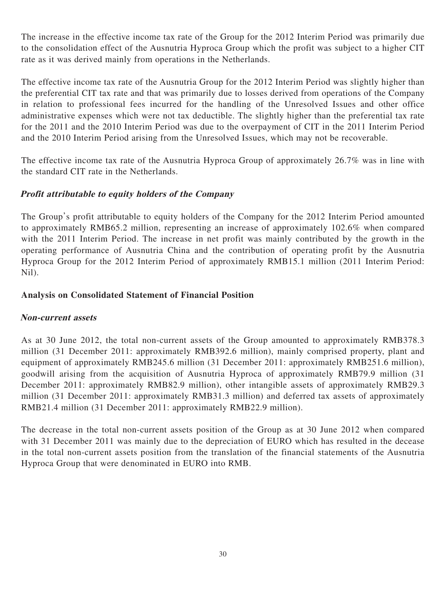The increase in the effective income tax rate of the Group for the 2012 Interim Period was primarily due to the consolidation effect of the Ausnutria Hyproca Group which the profit was subject to a higher CIT rate as it was derived mainly from operations in the Netherlands.

The effective income tax rate of the Ausnutria Group for the 2012 Interim Period was slightly higher than the preferential CIT tax rate and that was primarily due to losses derived from operations of the Company in relation to professional fees incurred for the handling of the Unresolved Issues and other office administrative expenses which were not tax deductible. The slightly higher than the preferential tax rate for the 2011 and the 2010 Interim Period was due to the overpayment of CIT in the 2011 Interim Period and the 2010 Interim Period arising from the Unresolved Issues, which may not be recoverable.

The effective income tax rate of the Ausnutria Hyproca Group of approximately 26.7% was in line with the standard CIT rate in the Netherlands.

## **Profit attributable to equity holders of the Company**

The Group's profit attributable to equity holders of the Company for the 2012 Interim Period amounted to approximately RMB65.2 million, representing an increase of approximately 102.6% when compared with the 2011 Interim Period. The increase in net profit was mainly contributed by the growth in the operating performance of Ausnutria China and the contribution of operating profit by the Ausnutria Hyproca Group for the 2012 Interim Period of approximately RMB15.1 million (2011 Interim Period: Nil).

## **Analysis on Consolidated Statement of Financial Position**

## **Non-current assets**

As at 30 June 2012, the total non-current assets of the Group amounted to approximately RMB378.3 million (31 December 2011: approximately RMB392.6 million), mainly comprised property, plant and equipment of approximately RMB245.6 million (31 December 2011: approximately RMB251.6 million), goodwill arising from the acquisition of Ausnutria Hyproca of approximately RMB79.9 million (31 December 2011: approximately RMB82.9 million), other intangible assets of approximately RMB29.3 million (31 December 2011: approximately RMB31.3 million) and deferred tax assets of approximately RMB21.4 million (31 December 2011: approximately RMB22.9 million).

The decrease in the total non-current assets position of the Group as at 30 June 2012 when compared with 31 December 2011 was mainly due to the depreciation of EURO which has resulted in the decease in the total non-current assets position from the translation of the financial statements of the Ausnutria Hyproca Group that were denominated in EURO into RMB.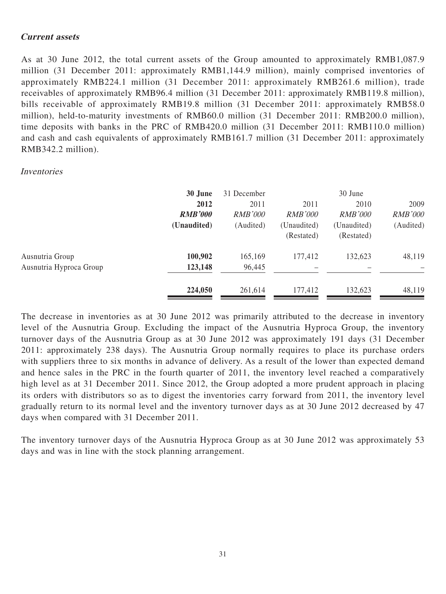#### **Current assets**

As at 30 June 2012, the total current assets of the Group amounted to approximately RMB1,087.9 million (31 December 2011: approximately RMB1,144.9 million), mainly comprised inventories of approximately RMB224.1 million (31 December 2011: approximately RMB261.6 million), trade receivables of approximately RMB96.4 million (31 December 2011: approximately RMB119.8 million), bills receivable of approximately RMB19.8 million (31 December 2011: approximately RMB58.0 million), held-to-maturity investments of RMB60.0 million (31 December 2011: RMB200.0 million), time deposits with banks in the PRC of RMB420.0 million (31 December 2011: RMB110.0 million) and cash and cash equivalents of approximately RMB161.7 million (31 December 2011: approximately RMB342.2 million).

#### Inventories

|                                            | 30 June<br>2012<br><b>RMB'000</b><br>(Unaudited) | 31 December<br>2011<br><b>RMB'000</b><br>(Audited) | 2011<br><i>RMB'000</i><br>(Unaudited)<br>(Restated) | 30 June<br>2010<br><b>RMB'000</b><br>(Unaudited)<br>(Restated) | 2009<br><b>RMB'000</b><br>(Audited) |
|--------------------------------------------|--------------------------------------------------|----------------------------------------------------|-----------------------------------------------------|----------------------------------------------------------------|-------------------------------------|
| Ausnutria Group<br>Ausnutria Hyproca Group | 100,902<br>123,148                               | 165,169<br>96,445                                  | 177,412                                             | 132,623                                                        | 48,119                              |
|                                            | 224,050                                          | 261,614                                            | 177,412                                             | 132,623                                                        | 48,119                              |

The decrease in inventories as at 30 June 2012 was primarily attributed to the decrease in inventory level of the Ausnutria Group. Excluding the impact of the Ausnutria Hyproca Group, the inventory turnover days of the Ausnutria Group as at 30 June 2012 was approximately 191 days (31 December 2011: approximately 238 days). The Ausnutria Group normally requires to place its purchase orders with suppliers three to six months in advance of delivery. As a result of the lower than expected demand and hence sales in the PRC in the fourth quarter of 2011, the inventory level reached a comparatively high level as at 31 December 2011. Since 2012, the Group adopted a more prudent approach in placing its orders with distributors so as to digest the inventories carry forward from 2011, the inventory level gradually return to its normal level and the inventory turnover days as at 30 June 2012 decreased by 47 days when compared with 31 December 2011.

The inventory turnover days of the Ausnutria Hyproca Group as at 30 June 2012 was approximately 53 days and was in line with the stock planning arrangement.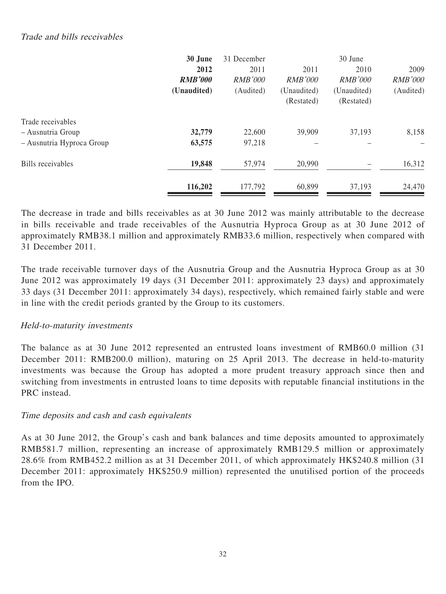## Trade and bills receivables

|                           | 30 June        | 31 December    |                | 30 June        |                |
|---------------------------|----------------|----------------|----------------|----------------|----------------|
|                           | 2012           | 2011           | 2011           | 2010           | 2009           |
|                           | <b>RMB'000</b> | <b>RMB'000</b> | <b>RMB'000</b> | <b>RMB'000</b> | <b>RMB'000</b> |
|                           | (Unaudited)    | (Audited)      | (Unaudited)    | (Unaudited)    | (Audited)      |
|                           |                |                | (Restated)     | (Restated)     |                |
| Trade receivables         |                |                |                |                |                |
| - Ausnutria Group         | 32,779         | 22,600         | 39,909         | 37,193         | 8,158          |
| - Ausnutria Hyproca Group | 63,575         | 97,218         |                |                |                |
| Bills receivables         | 19,848         | 57,974         | 20,990         |                | 16,312         |
|                           | 116,202        | 177,792        | 60,899         | 37,193         | 24,470         |

The decrease in trade and bills receivables as at 30 June 2012 was mainly attributable to the decrease in bills receivable and trade receivables of the Ausnutria Hyproca Group as at 30 June 2012 of approximately RMB38.1 million and approximately RMB33.6 million, respectively when compared with 31 December 2011.

The trade receivable turnover days of the Ausnutria Group and the Ausnutria Hyproca Group as at 30 June 2012 was approximately 19 days (31 December 2011: approximately 23 days) and approximately 33 days (31 December 2011: approximately 34 days), respectively, which remained fairly stable and were in line with the credit periods granted by the Group to its customers.

## Held-to-maturity investments

The balance as at 30 June 2012 represented an entrusted loans investment of RMB60.0 million (31 December 2011: RMB200.0 million), maturing on 25 April 2013. The decrease in held-to-maturity investments was because the Group has adopted a more prudent treasury approach since then and switching from investments in entrusted loans to time deposits with reputable financial institutions in the PRC instead.

## Time deposits and cash and cash equivalents

As at 30 June 2012, the Group's cash and bank balances and time deposits amounted to approximately RMB581.7 million, representing an increase of approximately RMB129.5 million or approximately 28.6% from RMB452.2 million as at 31 December 2011, of which approximately HK\$240.8 million (31 December 2011: approximately HK\$250.9 million) represented the unutilised portion of the proceeds from the IPO.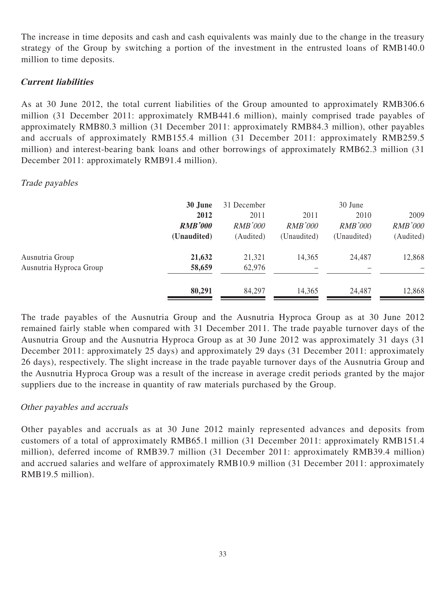The increase in time deposits and cash and cash equivalents was mainly due to the change in the treasury strategy of the Group by switching a portion of the investment in the entrusted loans of RMB140.0 million to time deposits.

## **Current liabilities**

As at 30 June 2012, the total current liabilities of the Group amounted to approximately RMB306.6 million (31 December 2011: approximately RMB441.6 million), mainly comprised trade payables of approximately RMB80.3 million (31 December 2011: approximately RMB84.3 million), other payables and accruals of approximately RMB155.4 million (31 December 2011: approximately RMB259.5 million) and interest-bearing bank loans and other borrowings of approximately RMB62.3 million (31 December 2011: approximately RMB91.4 million).

## Trade payables

|                                            | 30 June<br>2012<br><b>RMB'000</b><br>(Unaudited) | 31 December<br>2011<br><b>RMB'000</b><br>(Audited) | 2011<br><i>RMB'000</i><br>(Unaudited) | 30 June<br>2010<br><b>RMB'000</b><br>(Unaudited) | 2009<br><b>RMB'000</b><br>(Audited) |
|--------------------------------------------|--------------------------------------------------|----------------------------------------------------|---------------------------------------|--------------------------------------------------|-------------------------------------|
| Ausnutria Group<br>Ausnutria Hyproca Group | 21,632<br>58,659                                 | 21,321<br>62,976                                   | 14,365                                | 24,487                                           | 12,868                              |
|                                            | 80,291                                           | 84,297                                             | 14,365                                | 24,487                                           | 12,868                              |

The trade payables of the Ausnutria Group and the Ausnutria Hyproca Group as at 30 June 2012 remained fairly stable when compared with 31 December 2011. The trade payable turnover days of the Ausnutria Group and the Ausnutria Hyproca Group as at 30 June 2012 was approximately 31 days (31 December 2011: approximately 25 days) and approximately 29 days (31 December 2011: approximately 26 days), respectively. The slight increase in the trade payable turnover days of the Ausnutria Group and the Ausnutria Hyproca Group was a result of the increase in average credit periods granted by the major suppliers due to the increase in quantity of raw materials purchased by the Group.

## Other payables and accruals

Other payables and accruals as at 30 June 2012 mainly represented advances and deposits from customers of a total of approximately RMB65.1 million (31 December 2011: approximately RMB151.4 million), deferred income of RMB39.7 million (31 December 2011: approximately RMB39.4 million) and accrued salaries and welfare of approximately RMB10.9 million (31 December 2011: approximately RMB19.5 million).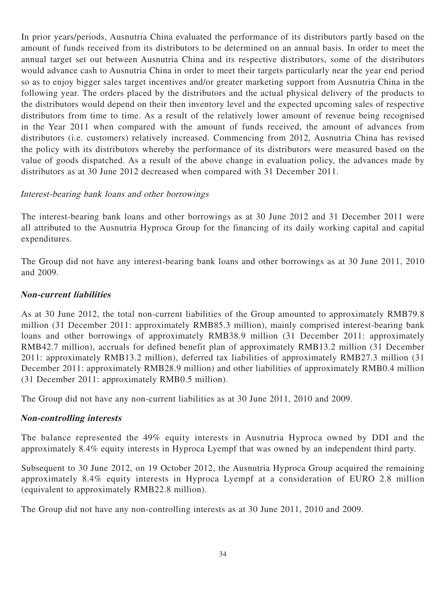In prior years/periods, Ausnutria China evaluated the performance of its distributors partly based on the amount of funds received from its distributors to be determined on an annual basis. In order to meet the annual target set out between Ausnutria China and its respective distributors, some of the distributors would advance cash to Ausnutria China in order to meet their targets particularly near the year end period so as to enjoy bigger sales target incentives and/or greater marketing support from Ausnutria China in the following year. The orders placed by the distributors and the actual physical delivery of the products to the distributors would depend on their then inventory level and the expected upcoming sales of respective distributors from time to time. As a result of the relatively lower amount of revenue being recognised in the Year 2011 when compared with the amount of funds received, the amount of advances from distributors (i.e. customers) relatively increased. Commencing from 2012, Ausnutria China has revised the policy with its distributors whereby the performance of its distributors were measured based on the value of goods dispatched. As a result of the above change in evaluation policy, the advances made by distributors as at 30 June 2012 decreased when compared with 31 December 2011.

## Interest-bearing bank loans and other borrowings

The interest-bearing bank loans and other borrowings as at 30 June 2012 and 31 December 2011 were all attributed to the Ausnutria Hyproca Group for the financing of its daily working capital and capital expenditures.

The Group did not have any interest-bearing bank loans and other borrowings as at 30 June 2011, 2010 and 2009.

#### **Non-current liabilities**

As at 30 June 2012, the total non-current liabilities of the Group amounted to approximately RMB79.8 million (31 December 2011: approximately RMB85.3 million), mainly comprised interest-bearing bank loans and other borrowings of approximately RMB38.9 million (31 December 2011: approximately RMB42.7 million), accruals for defined benefit plan of approximately RMB13.2 million (31 December 2011: approximately RMB13.2 million), deferred tax liabilities of approximately RMB27.3 million (31 December 2011: approximately RMB28.9 million) and other liabilities of approximately RMB0.4 million (31 December 2011: approximately RMB0.5 million).

The Group did not have any non-current liabilities as at 30 June 2011, 2010 and 2009.

## **Non-controlling interests**

The balance represented the 49% equity interests in Ausnutria Hyproca owned by DDI and the approximately 8.4% equity interests in Hyproca Lyempf that was owned by an independent third party.

Subsequent to 30 June 2012, on 19 October 2012, the Ausnutria Hyproca Group acquired the remaining approximately 8.4% equity interests in Hyproca Lyempf at a consideration of EURO 2.8 million (equivalent to approximately RMB22.8 million).

The Group did not have any non-controlling interests as at 30 June 2011, 2010 and 2009.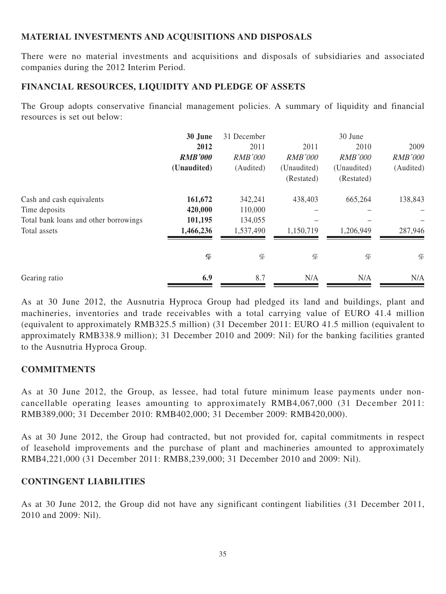## **MATERIAL INVESTMENTS AND ACQUISITIONS AND DISPOSALS**

There were no material investments and acquisitions and disposals of subsidiaries and associated companies during the 2012 Interim Period.

## **FINANCIAL RESOURCES, LIQUIDITY AND PLEDGE OF ASSETS**

The Group adopts conservative financial management policies. A summary of liquidity and financial resources is set out below:

|                                       | 30 June        | 31 December    |                | 30 June        |                |
|---------------------------------------|----------------|----------------|----------------|----------------|----------------|
|                                       | 2012           | 2011           | 2011           | 2010           | 2009           |
|                                       | <b>RMB'000</b> | <b>RMB'000</b> | <b>RMB'000</b> | <b>RMB'000</b> | <b>RMB'000</b> |
|                                       | (Unaudited)    | (Audited)      | (Unaudited)    | (Unaudited)    | (Audited)      |
|                                       |                |                | (Restated)     | (Restated)     |                |
| Cash and cash equivalents             | 161,672        | 342,241        | 438,403        | 665,264        | 138,843        |
| Time deposits                         | 420,000        | 110,000        |                |                |                |
| Total bank loans and other borrowings | 101,195        | 134,055        |                |                |                |
| Total assets                          | 1,466,236      | 1,537,490      | 1,150,719      | 1,206,949      | 287,946        |
|                                       | %              | %              | %              | %              | $\%$           |
| Gearing ratio                         | 6.9            | 8.7            | N/A            | N/A            | N/A            |

As at 30 June 2012, the Ausnutria Hyproca Group had pledged its land and buildings, plant and machineries, inventories and trade receivables with a total carrying value of EURO 41.4 million (equivalent to approximately RMB325.5 million) (31 December 2011: EURO 41.5 million (equivalent to approximately RMB338.9 million); 31 December 2010 and 2009: Nil) for the banking facilities granted to the Ausnutria Hyproca Group.

## **COMMITMENTS**

As at 30 June 2012, the Group, as lessee, had total future minimum lease payments under noncancellable operating leases amounting to approximately RMB4,067,000 (31 December 2011: RMB389,000; 31 December 2010: RMB402,000; 31 December 2009: RMB420,000).

As at 30 June 2012, the Group had contracted, but not provided for, capital commitments in respect of leasehold improvements and the purchase of plant and machineries amounted to approximately RMB4,221,000 (31 December 2011: RMB8,239,000; 31 December 2010 and 2009: Nil).

## **CONTINGENT LIABILITIES**

As at 30 June 2012, the Group did not have any significant contingent liabilities (31 December 2011, 2010 and 2009: Nil).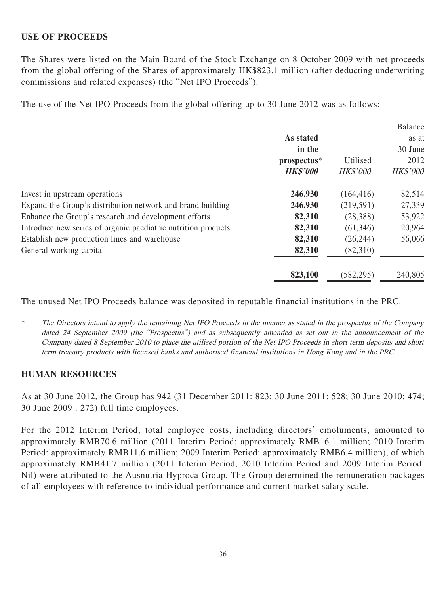## **USE OF PROCEEDS**

The Shares were listed on the Main Board of the Stock Exchange on 8 October 2009 with net proceeds from the global offering of the Shares of approximately HK\$823.1 million (after deducting underwriting commissions and related expenses) (the "Net IPO Proceeds").

The use of the Net IPO Proceeds from the global offering up to 30 June 2012 was as follows:

|                 |                 | <b>Balance</b>  |
|-----------------|-----------------|-----------------|
| As stated       |                 | as at           |
| in the          |                 | 30 June         |
| prospectus*     | Utilised        | 2012            |
| <b>HK\$'000</b> | <b>HK\$'000</b> | <b>HK\$'000</b> |
| 246,930         | (164, 416)      | 82,514          |
| 246,930         | (219,591)       | 27,339          |
| 82,310          | (28, 388)       | 53,922          |
| 82,310          | (61, 346)       | 20,964          |
| 82,310          | (26, 244)       | 56,066          |
| 82,310          | (82,310)        |                 |
| 823,100         | (582, 295)      | 240,805         |
|                 |                 |                 |

The unused Net IPO Proceeds balance was deposited in reputable financial institutions in the PRC.

\* The Directors intend to apply the remaining Net IPO Proceeds in the manner as stated in the prospectus of the Company dated 24 September 2009 (the "Prospectus") and as subsequently amended as set out in the announcement of the Company dated 8 September 2010 to place the utilised portion of the Net IPO Proceeds in short term deposits and short term treasury products with licensed banks and authorised financial institutions in Hong Kong and in the PRC.

#### **HUMAN RESOURCES**

As at 30 June 2012, the Group has 942 (31 December 2011: 823; 30 June 2011: 528; 30 June 2010: 474; 30 June 2009 : 272) full time employees.

For the 2012 Interim Period, total employee costs, including directors' emoluments, amounted to approximately RMB70.6 million (2011 Interim Period: approximately RMB16.1 million; 2010 Interim Period: approximately RMB11.6 million; 2009 Interim Period: approximately RMB6.4 million), of which approximately RMB41.7 million (2011 Interim Period, 2010 Interim Period and 2009 Interim Period: Nil) were attributed to the Ausnutria Hyproca Group. The Group determined the remuneration packages of all employees with reference to individual performance and current market salary scale.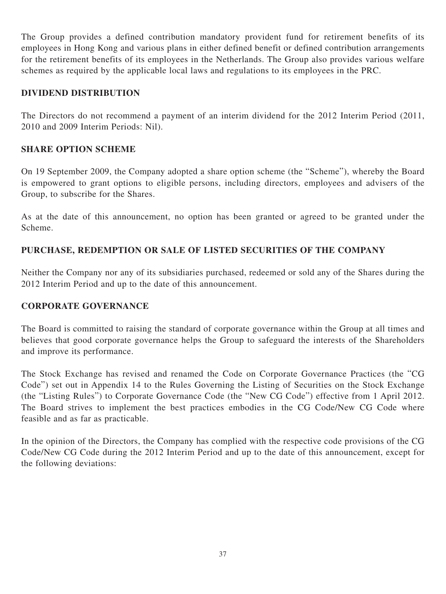The Group provides a defined contribution mandatory provident fund for retirement benefits of its employees in Hong Kong and various plans in either defined benefit or defined contribution arrangements for the retirement benefits of its employees in the Netherlands. The Group also provides various welfare schemes as required by the applicable local laws and regulations to its employees in the PRC.

## **DIVIDEND DISTRIBUTION**

The Directors do not recommend a payment of an interim dividend for the 2012 Interim Period (2011, 2010 and 2009 Interim Periods: Nil).

## **SHARE OPTION SCHEME**

On 19 September 2009, the Company adopted a share option scheme (the "Scheme"), whereby the Board is empowered to grant options to eligible persons, including directors, employees and advisers of the Group, to subscribe for the Shares.

As at the date of this announcement, no option has been granted or agreed to be granted under the Scheme.

## **PURCHASE, REDEMPTION OR SALE OF LISTED SECURITIES OF THE COMPANY**

Neither the Company nor any of its subsidiaries purchased, redeemed or sold any of the Shares during the 2012 Interim Period and up to the date of this announcement.

## **CORPORATE GOVERNANCE**

The Board is committed to raising the standard of corporate governance within the Group at all times and believes that good corporate governance helps the Group to safeguard the interests of the Shareholders and improve its performance.

The Stock Exchange has revised and renamed the Code on Corporate Governance Practices (the "CG Code") set out in Appendix 14 to the Rules Governing the Listing of Securities on the Stock Exchange (the "Listing Rules") to Corporate Governance Code (the "New CG Code") effective from 1 April 2012. The Board strives to implement the best practices embodies in the CG Code/New CG Code where feasible and as far as practicable.

In the opinion of the Directors, the Company has complied with the respective code provisions of the CG Code/New CG Code during the 2012 Interim Period and up to the date of this announcement, except for the following deviations: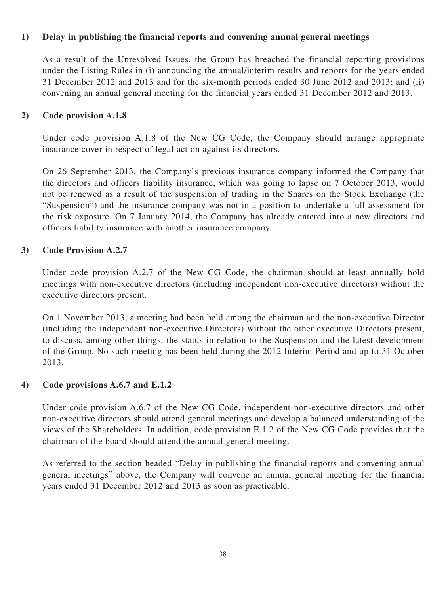## **1) Delay in publishing the financial reports and convening annual general meetings**

As a result of the Unresolved Issues, the Group has breached the financial reporting provisions under the Listing Rules in (i) announcing the annual/interim results and reports for the years ended 31 December 2012 and 2013 and for the six-month periods ended 30 June 2012 and 2013; and (ii) convening an annual general meeting for the financial years ended 31 December 2012 and 2013.

#### **2) Code provision A.1.8**

Under code provision A.1.8 of the New CG Code, the Company should arrange appropriate insurance cover in respect of legal action against its directors.

On 26 September 2013, the Company's previous insurance company informed the Company that the directors and officers liability insurance, which was going to lapse on 7 October 2013, would not be renewed as a result of the suspension of trading in the Shares on the Stock Exchange (the "Suspension") and the insurance company was not in a position to undertake a full assessment for the risk exposure. On 7 January 2014, the Company has already entered into a new directors and officers liability insurance with another insurance company.

#### **3) Code Provision A.2.7**

Under code provision A.2.7 of the New CG Code, the chairman should at least annually hold meetings with non-executive directors (including independent non-executive directors) without the executive directors present.

On 1 November 2013, a meeting had been held among the chairman and the non-executive Director (including the independent non-executive Directors) without the other executive Directors present, to discuss, among other things, the status in relation to the Suspension and the latest development of the Group. No such meeting has been held during the 2012 Interim Period and up to 31 October 2013.

## **4) Code provisions A.6.7 and E.1.2**

Under code provision A.6.7 of the New CG Code, independent non-executive directors and other non-executive directors should attend general meetings and develop a balanced understanding of the views of the Shareholders. In addition, code provision E.1.2 of the New CG Code provides that the chairman of the board should attend the annual general meeting.

As referred to the section headed "Delay in publishing the financial reports and convening annual general meetings" above, the Company will convene an annual general meeting for the financial years ended 31 December 2012 and 2013 as soon as practicable.